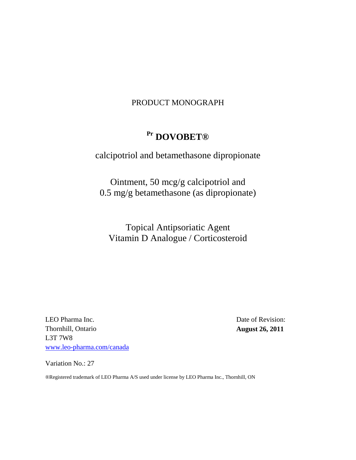# PRODUCT MONOGRAPH

# **Pr DOVOBET®**

# calcipotriol and betamethasone dipropionate

Ointment, 50 mcg/g calcipotriol and 0.5 mg/g betamethasone (as dipropionate)

Topical Antipsoriatic Agent Vitamin D Analogue / Corticosteroid

LEO Pharma Inc. Thornhill, Ontario L3T 7W8 [www.leo-pharma.com/canada](http://www.leo-pharma.com/canada) Date of Revision: **August 26, 2011**

Variation No.: 27

®Registered trademark of LEO Pharma A/S used under license by LEO Pharma Inc., Thornhill, ON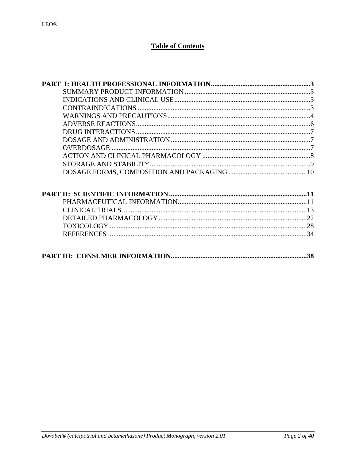# **Table of Contents**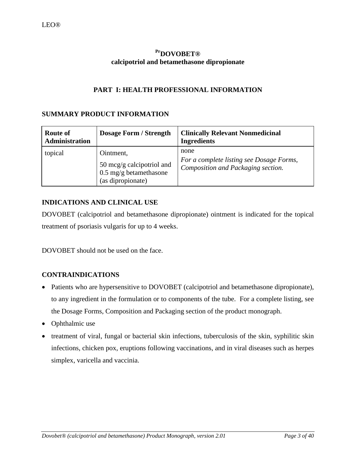# <span id="page-2-0"></span>**PrDOVOBET® calcipotriol and betamethasone dipropionate**

# <span id="page-2-1"></span>**PART I: HEALTH PROFESSIONAL INFORMATION**

# **SUMMARY PRODUCT INFORMATION**

| <b>Route of</b><br><b>Administration</b> | <b>Dosage Form / Strength</b>                                                                   | <b>Clinically Relevant Nonmedicinal</b><br><b>Ingredients</b>                          |
|------------------------------------------|-------------------------------------------------------------------------------------------------|----------------------------------------------------------------------------------------|
| topical                                  | Ointment,<br>50 mcg/g calcipotriol and<br>$0.5 \text{ mg/g}$ betamethasone<br>(as dipropionate) | none<br>For a complete listing see Dosage Forms,<br>Composition and Packaging section. |

# <span id="page-2-2"></span>**INDICATIONS AND CLINICAL USE**

DOVOBET (calcipotriol and betamethasone dipropionate) ointment is indicated for the topical treatment of psoriasis vulgaris for up to 4 weeks.

DOVOBET should not be used on the face.

# <span id="page-2-3"></span>**CONTRAINDICATIONS**

- Patients who are hypersensitive to DOVOBET (calcipotriol and betamethasone dipropionate), to any ingredient in the formulation or to components of the tube. For a complete listing, see the Dosage Forms, Composition and Packaging section of the product monograph.
- Ophthalmic use
- treatment of viral, fungal or bacterial skin infections, tuberculosis of the skin, syphilitic skin infections, chicken pox, eruptions following vaccinations, and in viral diseases such as herpes simplex, varicella and vaccinia.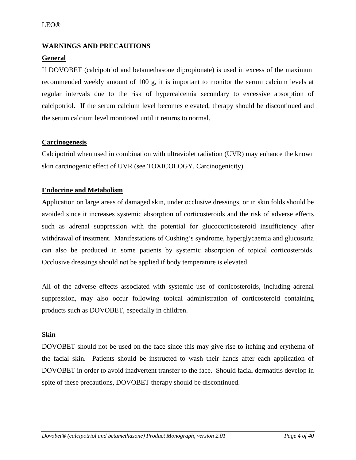# <span id="page-3-0"></span>**WARNINGS AND PRECAUTIONS**

# **General**

If DOVOBET (calcipotriol and betamethasone dipropionate) is used in excess of the maximum recommended weekly amount of 100 g, it is important to monitor the serum calcium levels at regular intervals due to the risk of hypercalcemia secondary to excessive absorption of calcipotriol. If the serum calcium level becomes elevated, therapy should be discontinued and the serum calcium level monitored until it returns to normal.

# **Carcinogenesis**

Calcipotriol when used in combination with ultraviolet radiation (UVR) may enhance the known skin carcinogenic effect of UVR (see TOXICOLOGY, Carcinogenicity).

# **Endocrine and Metabolism**

Application on large areas of damaged skin, under occlusive dressings, or in skin folds should be avoided since it increases systemic absorption of corticosteroids and the risk of adverse effects such as adrenal suppression with the potential for glucocorticosteroid insufficiency after withdrawal of treatment. Manifestations of Cushing's syndrome, hyperglycaemia and glucosuria can also be produced in some patients by systemic absorption of topical corticosteroids. Occlusive dressings should not be applied if body temperature is elevated.

All of the adverse effects associated with systemic use of corticosteroids, including adrenal suppression, may also occur following topical administration of corticosteroid containing products such as DOVOBET, especially in children.

# **Skin**

DOVOBET should not be used on the face since this may give rise to itching and erythema of the facial skin. Patients should be instructed to wash their hands after each application of DOVOBET in order to avoid inadvertent transfer to the face. Should facial dermatitis develop in spite of these precautions, DOVOBET therapy should be discontinued.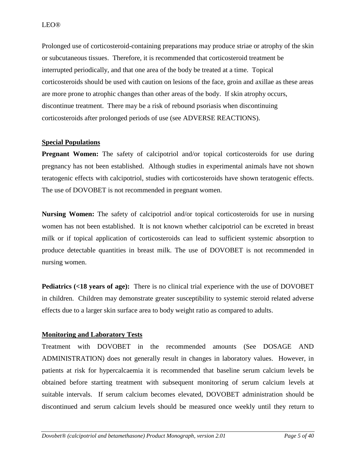Prolonged use of corticosteroid-containing preparations may produce striae or atrophy of the skin or subcutaneous tissues. Therefore, it is recommended that corticosteroid treatment be interrupted periodically, and that one area of the body be treated at a time. Topical corticosteroids should be used with caution on lesions of the face, groin and axillae as these areas are more prone to atrophic changes than other areas of the body. If skin atrophy occurs, discontinue treatment. There may be a risk of rebound psoriasis when discontinuing corticosteroids after prolonged periods of use (see ADVERSE REACTIONS).

# **Special Populations**

**Pregnant Women:** The safety of calcipotriol and/or topical corticosteroids for use during pregnancy has not been established. Although studies in experimental animals have not shown teratogenic effects with calcipotriol, studies with corticosteroids have shown teratogenic effects. The use of DOVOBET is not recommended in pregnant women.

**Nursing Women:** The safety of calcipotriol and/or topical corticosteroids for use in nursing women has not been established. It is not known whether calcipotriol can be excreted in breast milk or if topical application of corticosteroids can lead to sufficient systemic absorption to produce detectable quantities in breast milk. The use of DOVOBET is not recommended in nursing women.

**Pediatrics (<18 years of age):** There is no clinical trial experience with the use of DOVOBET in children. Children may demonstrate greater susceptibility to systemic steroid related adverse effects due to a larger skin surface area to body weight ratio as compared to adults.

# **Monitoring and Laboratory Tests**

Treatment with DOVOBET in the recommended amounts (See DOSAGE AND ADMINISTRATION) does not generally result in changes in laboratory values. However, in patients at risk for hypercalcaemia it is recommended that baseline serum calcium levels be obtained before starting treatment with subsequent monitoring of serum calcium levels at suitable intervals. If serum calcium becomes elevated, DOVOBET administration should be discontinued and serum calcium levels should be measured once weekly until they return to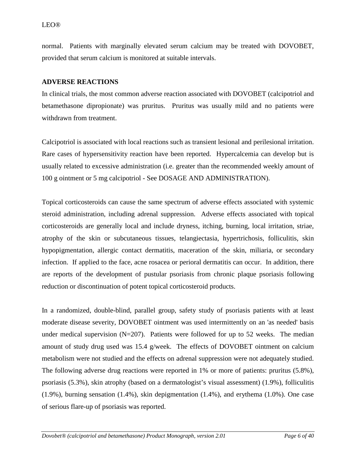normal. Patients with marginally elevated serum calcium may be treated with DOVOBET, provided that serum calcium is monitored at suitable intervals.

### <span id="page-5-0"></span>**ADVERSE REACTIONS**

In clinical trials, the most common adverse reaction associated with DOVOBET (calcipotriol and betamethasone dipropionate) was pruritus. Pruritus was usually mild and no patients were withdrawn from treatment.

Calcipotriol is associated with local reactions such as transient lesional and perilesional irritation. Rare cases of hypersensitivity reaction have been reported. Hypercalcemia can develop but is usually related to excessive administration (i.e. greater than the recommended weekly amount of 100 g ointment or 5 mg calcipotriol - See DOSAGE AND ADMINISTRATION).

Topical corticosteroids can cause the same spectrum of adverse effects associated with systemic steroid administration, including adrenal suppression. Adverse effects associated with topical corticosteroids are generally local and include dryness, itching, burning, local irritation, striae, atrophy of the skin or subcutaneous tissues, telangiectasia, hypertrichosis, folliculitis, skin hypopigmentation, allergic contact dermatitis, maceration of the skin, miliaria, or secondary infection. If applied to the face, acne rosacea or perioral dermatitis can occur. In addition, there are reports of the development of pustular psoriasis from chronic plaque psoriasis following reduction or discontinuation of potent topical corticosteroid products.

In a randomized, double-blind, parallel group, safety study of psoriasis patients with at least moderate disease severity, DOVOBET ointment was used intermittently on an 'as needed' basis under medical supervision  $(N=207)$ . Patients were followed for up to 52 weeks. The median amount of study drug used was 15.4 g/week. The effects of DOVOBET ointment on calcium metabolism were not studied and the effects on adrenal suppression were not adequately studied. The following adverse drug reactions were reported in 1% or more of patients: pruritus (5.8%), psoriasis (5.3%), skin atrophy (based on a dermatologist's visual assessment) (1.9%), folliculitis (1.9%), burning sensation (1.4%), skin depigmentation (1.4%), and erythema (1.0%). One case of serious flare-up of psoriasis was reported.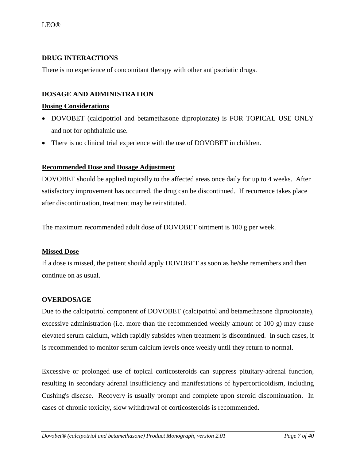# <span id="page-6-0"></span>**DRUG INTERACTIONS**

There is no experience of concomitant therapy with other antipsoriatic drugs.

# <span id="page-6-1"></span>**DOSAGE AND ADMINISTRATION**

### **Dosing Considerations**

- DOVOBET (calcipotriol and betamethasone dipropionate) is FOR TOPICAL USE ONLY and not for ophthalmic use.
- There is no clinical trial experience with the use of DOVOBET in children.

# **Recommended Dose and Dosage Adjustment**

DOVOBET should be applied topically to the affected areas once daily for up to 4 weeks. After satisfactory improvement has occurred, the drug can be discontinued. If recurrence takes place after discontinuation, treatment may be reinstituted.

The maximum recommended adult dose of DOVOBET ointment is 100 g per week.

# **Missed Dose**

If a dose is missed, the patient should apply DOVOBET as soon as he/she remembers and then continue on as usual.

# <span id="page-6-2"></span>**OVERDOSAGE**

Due to the calcipotriol component of DOVOBET (calcipotriol and betamethasone dipropionate), excessive administration (i.e. more than the recommended weekly amount of 100 g) may cause elevated serum calcium, which rapidly subsides when treatment is discontinued. In such cases, it is recommended to monitor serum calcium levels once weekly until they return to normal.

Excessive or prolonged use of topical corticosteroids can suppress pituitary-adrenal function, resulting in secondary adrenal insufficiency and manifestations of hypercorticoidism, including Cushing's disease. Recovery is usually prompt and complete upon steroid discontinuation. In cases of chronic toxicity, slow withdrawal of corticosteroids is recommended.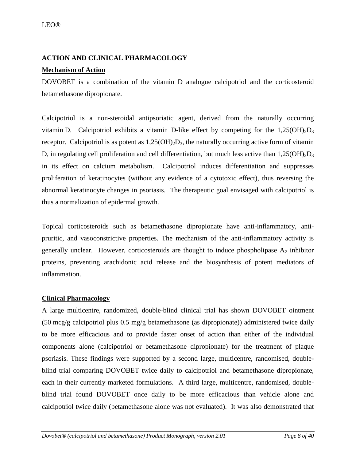# <span id="page-7-0"></span>**ACTION AND CLINICAL PHARMACOLOGY**

# **Mechanism of Action**

DOVOBET is a combination of the vitamin D analogue calcipotriol and the corticosteroid betamethasone dipropionate.

Calcipotriol is a non-steroidal antipsoriatic agent, derived from the naturally occurring vitamin D. Calcipotriol exhibits a vitamin D-like effect by competing for the  $1,25(OH)_{2}D_{3}$ receptor. Calcipotriol is as potent as  $1,25(OH)_2D_3$ , the naturally occurring active form of vitamin D, in regulating cell proliferation and cell differentiation, but much less active than  $1,25(OH)<sub>2</sub>D<sub>3</sub>$ in its effect on calcium metabolism. Calcipotriol induces differentiation and suppresses proliferation of keratinocytes (without any evidence of a cytotoxic effect), thus reversing the abnormal keratinocyte changes in psoriasis. The therapeutic goal envisaged with calcipotriol is thus a normalization of epidermal growth.

Topical corticosteroids such as betamethasone dipropionate have anti-inflammatory, antipruritic, and vasoconstrictive properties. The mechanism of the anti-inflammatory activity is generally unclear. However, corticosteroids are thought to induce phospholipase  $A_2$  inhibitor proteins, preventing arachidonic acid release and the biosynthesis of potent mediators of inflammation.

# **Clinical Pharmacology**

A large multicentre, randomized, double-blind clinical trial has shown DOVOBET ointment (50 mcg/g calcipotriol plus 0.5 mg/g betamethasone (as dipropionate)) administered twice daily to be more efficacious and to provide faster onset of action than either of the individual components alone (calcipotriol or betamethasone dipropionate) for the treatment of plaque psoriasis. These findings were supported by a second large, multicentre, randomised, doubleblind trial comparing DOVOBET twice daily to calcipotriol and betamethasone dipropionate, each in their currently marketed formulations. A third large, multicentre, randomised, doubleblind trial found DOVOBET once daily to be more efficacious than vehicle alone and calcipotriol twice daily (betamethasone alone was not evaluated). It was also demonstrated that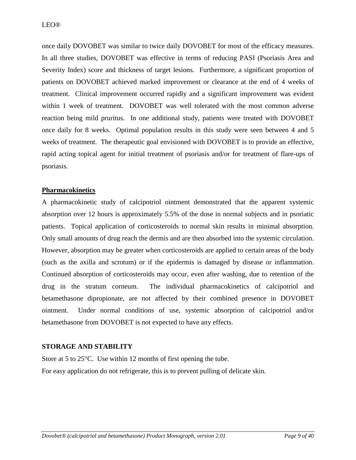once daily DOVOBET was similar to twice daily DOVOBET for most of the efficacy measures. In all three studies, DOVOBET was effective in terms of reducing PASI (Psoriasis Area and Severity Index) score and thickness of target lesions. Furthermore, a significant proportion of patients on DOVOBET achieved marked improvement or clearance at the end of 4 weeks of treatment. Clinical improvement occurred rapidly and a significant improvement was evident within 1 week of treatment. DOVOBET was well tolerated with the most common adverse reaction being mild pruritus. In one additional study, patients were treated with DOVOBET once daily for 8 weeks. Optimal population results in this study were seen between 4 and 5 weeks of treatment. The therapeutic goal envisioned with DOVOBET is to provide an effective, rapid acting topical agent for initial treatment of psoriasis and/or for treatment of flare-ups of psoriasis.

### **Pharmacokinetics**

A pharmacokinetic study of calcipotriol ointment demonstrated that the apparent systemic absorption over 12 hours is approximately 5.5% of the dose in normal subjects and in psoriatic patients. Topical application of corticosteroids to normal skin results in minimal absorption. Only small amounts of drug reach the dermis and are then absorbed into the systemic circulation. However, absorption may be greater when corticosteroids are applied to certain areas of the body (such as the axilla and scrotum) or if the epidermis is damaged by disease or inflammation. Continued absorption of corticosteroids may occur, even after washing, due to retention of the drug in the stratum corneum. The individual pharmacokinetics of calcipotriol and betamethasone dipropionate, are not affected by their combined presence in DOVOBET ointment. Under normal conditions of use, systemic absorption of calcipotriol and/or betamethasone from DOVOBET is not expected to have any effects.

### <span id="page-8-0"></span>**STORAGE AND STABILITY**

Store at 5 to 25°C. Use within 12 months of first opening the tube. For easy application do not refrigerate, this is to prevent pulling of delicate skin.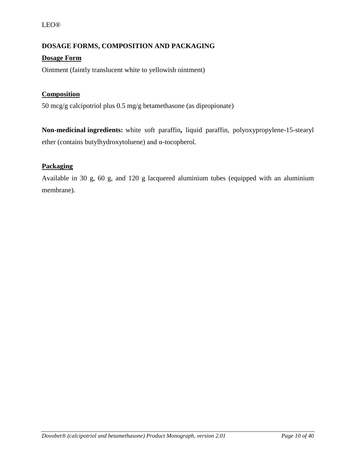### LEO®

# <span id="page-9-0"></span>**DOSAGE FORMS, COMPOSITION AND PACKAGING**

# **Dosage Form**

Ointment (faintly translucent white to yellowish ointment)

# **Composition**

50 mcg/g calcipotriol plus 0.5 mg/g betamethasone (as dipropionate)

**Non-medicinal ingredients:** white soft paraffin**,** liquid paraffin, polyoxypropylene-15-stearyl ether (contains butylhydroxytoluene) and α-tocopherol.

# **Packaging**

Available in 30 g, 60 g, and 120 g lacquered aluminium tubes (equipped with an aluminium membrane).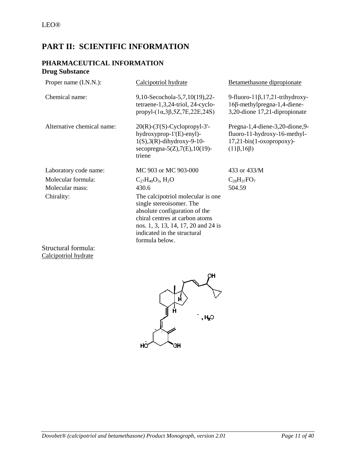# <span id="page-10-0"></span>**PART II: SCIENTIFIC INFORMATION**

# **PHARMACEUTICAL INFORMATION Drug Substance**

<span id="page-10-1"></span>

| Proper name (I.N.N.):      | Calcipotriol hydrate                                                                                                                                                                                                     | Betamethasone dipropionate                                                                                            |
|----------------------------|--------------------------------------------------------------------------------------------------------------------------------------------------------------------------------------------------------------------------|-----------------------------------------------------------------------------------------------------------------------|
| Chemical name:             | 9,10-Secochola-5,7,10(19),22-<br>tetraene-1,3,24-triol, 24-cyclo-<br>propyl- $(1\alpha,3\beta,5Z,7E,22E,24S)$                                                                                                            | 9-fluoro-11 $\beta$ , 17, 21-trihydroxy-<br>16β-methylpregna-1,4-diene-<br>3,20-dione 17,21-dipropionate              |
| Alternative chemical name: | $20(R)-(3'(S)-Cyclopropyl-3'-$<br>$hydroxyprop-1'(E)-eny1$ -<br>$1(S), 3(R)$ -dihydroxy-9-10-<br>secopregna- $5(Z), 7(E), 10(19)$ -<br>triene                                                                            | Pregna-1,4-diene-3,20-dione,9-<br>fluoro-11-hydroxy-16-methyl-<br>$17,21$ -bis(1-oxopropoxy)-<br>$(11\beta, 16\beta)$ |
| Laboratory code name:      | MC 903 or MC 903-000                                                                                                                                                                                                     | 433 or 433/M                                                                                                          |
| Molecular formula:         | $C_{27}H_{40}O_3$ , H <sub>2</sub> O                                                                                                                                                                                     | $C_{28}H_{37}FO_7$                                                                                                    |
| Molecular mass:            | 430.6                                                                                                                                                                                                                    | 504.59                                                                                                                |
| Chirality:                 | The calcipotriol molecular is one<br>single stereoisomer. The<br>absolute configuration of the<br>chiral centres at carbon atoms<br>nos. 1, 3, 13, 14, 17, 20 and 24 is<br>indicated in the structural<br>formula below. |                                                                                                                       |

Structural formula: Calcipotriol hydrate

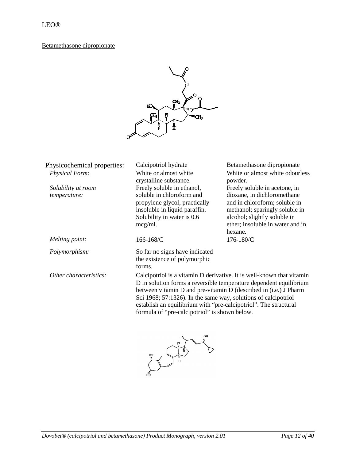# Betamethasone dipropionate



| Physicochemical properties: | Calcipotriol hydrate                                                  | Betamethasone dipropionate                                         |
|-----------------------------|-----------------------------------------------------------------------|--------------------------------------------------------------------|
| <b>Physical Form:</b>       | White or almost white                                                 | White or almost white odourless                                    |
|                             | crystalline substance.                                                | powder.                                                            |
| Solubility at room          | Freely soluble in ethanol,                                            | Freely soluble in acetone, in                                      |
| temperature:                | soluble in chloroform and                                             | dioxane, in dichloromethane                                        |
|                             | propylene glycol, practically                                         | and in chloroform; soluble in                                      |
|                             | insoluble in liquid paraffin.                                         | methanol; sparingly soluble in                                     |
|                             | Solubility in water is 0.6                                            | alcohol; slightly soluble in                                       |
|                             | mcg/ml.                                                               | ether; insoluble in water and in                                   |
|                             |                                                                       | hexane.                                                            |
| Melting point:              | 166-168/C                                                             | 176-180/C                                                          |
| Polymorphism:               | So far no signs have indicated                                        |                                                                    |
|                             | the existence of polymorphic                                          |                                                                    |
|                             | forms.                                                                |                                                                    |
| Other characteristics:      | Calcipotriol is a vitamin D derivative. It is well-known that vitamin |                                                                    |
|                             |                                                                       | D in solution forms a reversible temperature dependent equilibrium |
|                             | between vitamin D and pre-vitamin D (described in (i.e.) J Pharm      |                                                                    |
|                             | Sci 1968; 57:1326). In the same way, solutions of calcipotriol        |                                                                    |
|                             | establish an equilibrium with "pre-calcipotriol". The structural      |                                                                    |
|                             | formula of "pre-calcipotriol" is shown below.                         |                                                                    |

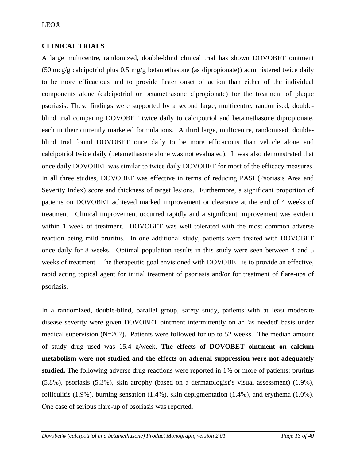# <span id="page-12-0"></span>**CLINICAL TRIALS**

A large multicentre, randomized, double-blind clinical trial has shown DOVOBET ointment (50 mcg/g calcipotriol plus 0.5 mg/g betamethasone (as dipropionate)) administered twice daily to be more efficacious and to provide faster onset of action than either of the individual components alone (calcipotriol or betamethasone dipropionate) for the treatment of plaque psoriasis. These findings were supported by a second large, multicentre, randomised, doubleblind trial comparing DOVOBET twice daily to calcipotriol and betamethasone dipropionate, each in their currently marketed formulations. A third large, multicentre, randomised, doubleblind trial found DOVOBET once daily to be more efficacious than vehicle alone and calcipotriol twice daily (betamethasone alone was not evaluated). It was also demonstrated that once daily DOVOBET was similar to twice daily DOVOBET for most of the efficacy measures. In all three studies, DOVOBET was effective in terms of reducing PASI (Psoriasis Area and Severity Index) score and thickness of target lesions. Furthermore, a significant proportion of patients on DOVOBET achieved marked improvement or clearance at the end of 4 weeks of treatment. Clinical improvement occurred rapidly and a significant improvement was evident within 1 week of treatment. DOVOBET was well tolerated with the most common adverse reaction being mild pruritus. In one additional study, patients were treated with DOVOBET once daily for 8 weeks. Optimal population results in this study were seen between 4 and 5 weeks of treatment. The therapeutic goal envisioned with DOVOBET is to provide an effective, rapid acting topical agent for initial treatment of psoriasis and/or for treatment of flare-ups of psoriasis.

In a randomized, double-blind, parallel group, safety study, patients with at least moderate disease severity were given DOVOBET ointment intermittently on an 'as needed' basis under medical supervision  $(N=207)$ . Patients were followed for up to 52 weeks. The median amount of study drug used was 15.4 g/week. **The effects of DOVOBET ointment on calcium metabolism were not studied and the effects on adrenal suppression were not adequately studied.** The following adverse drug reactions were reported in 1% or more of patients: pruritus (5.8%), psoriasis (5.3%), skin atrophy (based on a dermatologist's visual assessment) (1.9%), folliculitis (1.9%), burning sensation (1.4%), skin depigmentation (1.4%), and erythema (1.0%). One case of serious flare-up of psoriasis was reported.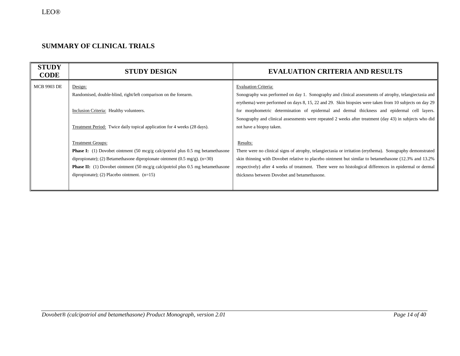# **SUMMARY OF CLINICAL TRIALS**

| <b>STUDY</b><br><b>CODE</b> | <b>STUDY DESIGN</b>                                                                                      | <b>EVALUATION CRITERIA AND RESULTS</b>                                                                    |
|-----------------------------|----------------------------------------------------------------------------------------------------------|-----------------------------------------------------------------------------------------------------------|
| <b>MCB 9903 DE</b>          | Design:                                                                                                  | <b>Evaluation Criteria:</b>                                                                               |
|                             | Randomised, double-blind, right/left comparison on the forearm.                                          | Sonography was performed on day 1. Sonography and clinical assessments of atrophy, telangiectasia and     |
|                             |                                                                                                          | erythema) were performed on days 8, 15, 22 and 29. Skin biopsies were taken from 10 subjects on day 29    |
|                             | Inclusion Criteria: Healthy volunteers.                                                                  | for morphometric determination of epidermal and dermal thickness and epidermal cell layers.               |
|                             |                                                                                                          | Sonography and clinical assessments were repeated 2 weeks after treatment (day 43) in subjects who did    |
|                             | Treatment Period: Twice daily topical application for 4 weeks (28 days).                                 | not have a biopsy taken.                                                                                  |
|                             |                                                                                                          |                                                                                                           |
|                             | <b>Treatment Groups:</b>                                                                                 | Results:                                                                                                  |
|                             | <b>Phase I:</b> (1) Dovobet ointment $(50 \text{ meg/g calcipotriol plus } 0.5 \text{ mg betamethasone}$ | There were no clinical signs of atrophy, telangiectasia or irritation (erythema). Sonography demonstrated |
|                             | dipropionate); (2) Betamethasone dipropionate ointment (0.5 mg/g). $(n=30)$                              | skin thinning with Dovobet relative to placebo ointment but similar to betamethasone (12.3% and 13.2%)    |
|                             | <b>Phase II:</b> (1) Dovobet ointment (50 mcg/g calcipotriol plus 0.5 mg betamethasone                   | respectively) after 4 weeks of treatment. There were no histological differences in epidermal or dermal   |
|                             | dipropionate); (2) Placebo ointment. $(n=15)$                                                            | thickness between Dovobet and betamethasone.                                                              |
|                             |                                                                                                          |                                                                                                           |
|                             |                                                                                                          |                                                                                                           |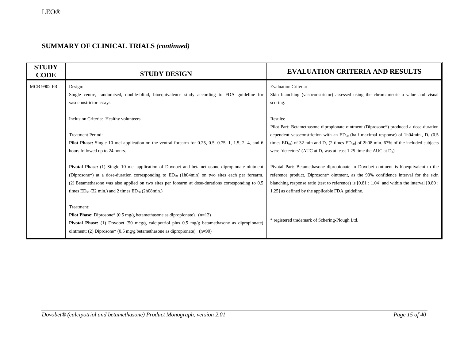| <b>STUDY</b><br><b>CODE</b> | <b>STUDY DESIGN</b>                                                                                                                                                                                                                                                                                                                                                        | <b>EVALUATION CRITERIA AND RESULTS</b>                                                                                                                                                                                                                                                                                                                                                |
|-----------------------------|----------------------------------------------------------------------------------------------------------------------------------------------------------------------------------------------------------------------------------------------------------------------------------------------------------------------------------------------------------------------------|---------------------------------------------------------------------------------------------------------------------------------------------------------------------------------------------------------------------------------------------------------------------------------------------------------------------------------------------------------------------------------------|
| <b>MCB 9902 FR</b>          | Design:<br>Single centre, randomised, double-blind, bioequivalence study according to FDA guideline for<br>vasoconstrictor assays.                                                                                                                                                                                                                                         | <b>Evaluation Criteria:</b><br>Skin blanching (vasoconstrictor) assessed using the chromametric a value and visual<br>scoring.                                                                                                                                                                                                                                                        |
|                             | Inclusion Criteria: Healthy volunteers.<br><b>Treatment Period:</b><br>Pilot Phase: Single 10 mcl application on the ventral forearm for 0.25, 0.5, 0.75, 1, 1.5, 2, 4, and 6<br>hours followed up to 24 hours.                                                                                                                                                            | Results:<br>Pilot Part: Betamethasone dipropionate ointment (Diprosone*) produced a dose-duration<br>dependent vasoconstriction with an $ED_{50}$ (half maximal response) of 1h04min., $D_1$ (0.5)<br>times $ED_{50}$ of 32 min and $D_2$ (2 times $ED_{50}$ ) of 2h08 min. 67% of the included subjects<br>were 'detectors' (AUC at $D_1$ was at least 1.25 time the AUC at $D_2$ ). |
|                             | Pivotal Phase: (1) Single 10 mcl application of Dovobet and betamethasone dipropionate ointment<br>(Diprosone*) at a dose-duration corresponding to $ED_{50}$ (1h04min) on two sites each per forearm.<br>(2) Betamethasone was also applied on two sites per forearm at dose-durations corresponding to 0.5<br>times $ED_{50}$ (32 min.) and 2 times $ED_{50}$ (2h08min.) | Pivotal Part: Betamethasone dipropionate in Dovobet ointment is bioequivalent to the<br>reference product, Diprosone* ointment, as the 90% confidence interval for the skin<br>blanching response ratio (test to reference) is $[0.81; 1.04]$ and within the interval $[0.80;$<br>1.25] as defined by the applicable FDA guideline.                                                   |
|                             | Treatment:<br><b>Pilot Phase:</b> Diprosone* $(0.5 \text{ mg/g}$ betamethas one as dipropionate). $(n=12)$<br><b>Pivotal Phase:</b> (1) Dovobet (50 mcg/g calcipotriol plus 0.5 mg/g betamethasone as dipropionate)<br>ointment; (2) Diprosone* (0.5 mg/g betamethasone as dipropionate). $(n=90)$                                                                         | * registered trademark of Schering-Plough Ltd.                                                                                                                                                                                                                                                                                                                                        |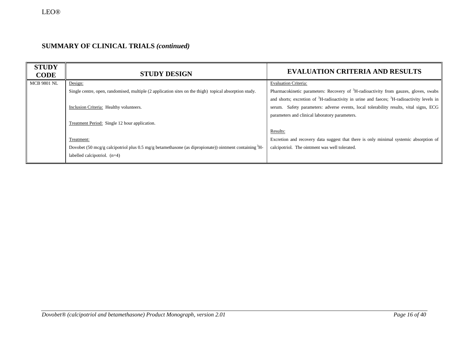| <b>STUDY</b><br><b>CODE</b> | <b>STUDY DESIGN</b>                                                                                           | <b>EVALUATION CRITERIA AND RESULTS</b>                                                                            |
|-----------------------------|---------------------------------------------------------------------------------------------------------------|-------------------------------------------------------------------------------------------------------------------|
| <b>MCB 9801 NL</b>          | Design:                                                                                                       | <b>Evaluation Criteria:</b>                                                                                       |
|                             | Single centre, open, randomised, multiple (2 application sites on the thigh) topical absorption study.        | Pharmacokinetic parameters: Recovery of <sup>3</sup> H-radioactivity from gauzes, gloves, swabs                   |
|                             |                                                                                                               | and shorts; excretion of <sup>3</sup> H-radioactivity in urine and faeces; <sup>3</sup> H-radioactivity levels in |
|                             | Inclusion Criteria: Healthy volunteers.                                                                       | serum. Safety parameters: adverse events, local tolerability results, vital signs, ECG                            |
|                             |                                                                                                               | parameters and clinical laboratory parameters.                                                                    |
|                             | Treatment Period: Single 12 hour application.                                                                 |                                                                                                                   |
|                             |                                                                                                               | Results:                                                                                                          |
|                             | Treatment:                                                                                                    | Excretion and recovery data suggest that there is only minimal systemic absorption of                             |
|                             | Dovobet (50 mcg/g calcipotriol plus 0.5 mg/g betamethasone (as dipropionate)) ointment containing ${}^{3}$ H- | calcipotriol. The ointment was well tolerated.                                                                    |
|                             | labelled calcipotriol. $(n=4)$                                                                                |                                                                                                                   |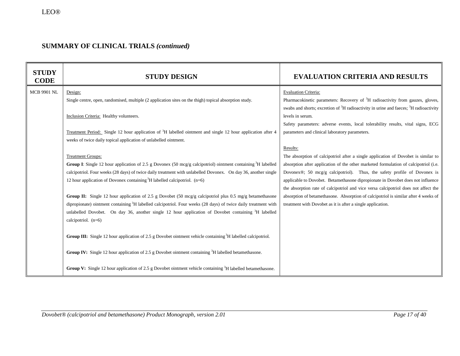| <b>STUDY</b><br><b>CODE</b> | <b>STUDY DESIGN</b>                                                                                                        | <b>EVALUATION CRITERIA AND RESULTS</b>                                                                        |
|-----------------------------|----------------------------------------------------------------------------------------------------------------------------|---------------------------------------------------------------------------------------------------------------|
| <b>MCB 9901 NL</b>          | Design:                                                                                                                    | <b>Evaluation Criteria:</b>                                                                                   |
|                             | Single centre, open, randomised, multiple (2 application sites on the thigh) topical absorption study.                     | Pharmacokinetic parameters: Recovery of <sup>3</sup> H radioactivity from gauzes, gloves,                     |
|                             |                                                                                                                            | swabs and shorts; excretion of <sup>3</sup> H radioactivity in urine and faeces; <sup>3</sup> H radioactivity |
|                             | Inclusion Criteria: Healthy volunteers.                                                                                    | levels in serum.                                                                                              |
|                             |                                                                                                                            | Safety parameters: adverse events, local tolerability results, vital signs, ECG                               |
|                             | Treatment Period: Single 12 hour application of <sup>3</sup> H labelled ointment and single 12 hour application after 4    | parameters and clinical laboratory parameters.                                                                |
|                             | weeks of twice daily topical application of unlabelled ointment.                                                           |                                                                                                               |
|                             |                                                                                                                            | Results:                                                                                                      |
|                             | <b>Treatment Groups:</b>                                                                                                   | The absorption of calcipotriol after a single application of Dovobet is similar to                            |
|                             | <b>Group I:</b> Single 12 hour application of 2.5 g Dovonex (50 mcg/g calcipotriol) ointment containing ${}^{3}H$ labelled | absorption after application of the other marketed formulation of calcipotriol (i.e.                          |
|                             | calcipotriol. Four weeks (28 days) of twice daily treatment with unlabelled Dovonex. On day 36, another single             | Dovonex®; 50 mcg/g calcipotriol). Thus, the safety profile of Dovonex is                                      |
|                             | 12 hour application of Dovonex containing ${}^{3}H$ labelled calcipotriol. (n=6)                                           | applicable to Dovobet. Betamethasone dipropionate in Dovobet does not influence                               |
|                             |                                                                                                                            | the absorption rate of calcipotriol and vice versa calcipotriol does not affect the                           |
|                             | Group II: Single 12 hour application of 2.5 g Dovobet (50 mcg/g calcipotriol plus 0.5 mg/g betamethasone                   | absorption of betamethasone. Absorption of calcipotriol is similar after 4 weeks of                           |
|                             | dipropionate) ointment containing <sup>3</sup> H labelled calcipotriol. Four weeks (28 days) of twice daily treatment with | treatment with Dovobet as it is after a single application.                                                   |
|                             | unlabelled Dovobet. On day 36, another single 12 hour application of Dovobet containing <sup>3</sup> H labelled            |                                                                                                               |
|                             | calcipotriol. (n=6)                                                                                                        |                                                                                                               |
|                             | Group III: Single 12 hour application of 2.5 g Dovobet ointment vehicle containing <sup>3</sup> H labelled calcipotriol.   |                                                                                                               |
|                             | <b>Group IV:</b> Single 12 hour application of 2.5 g Dovobet ointment containing ${}^{3}H$ labelled betamethasone.         |                                                                                                               |
|                             | Group V: Single 12 hour application of 2.5 g Dovobet ointment vehicle containing <sup>3</sup> H labelled betamethasone.    |                                                                                                               |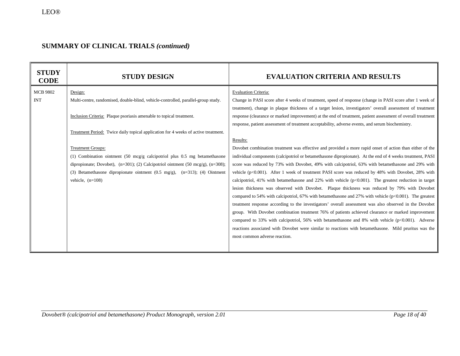| <b>STUDY</b><br><b>CODE</b>   | <b>STUDY DESIGN</b>                                                                                                                                                                                                                                                                                                                                                                                                                                                                                                                                                                             | <b>EVALUATION CRITERIA AND RESULTS</b>                                                                                                                                                                                                                                                                                                                                                                                                                                                                                                                                                                                                                                                                                                                                                                                                                                                                                                                                                                                                                                                                                                                                                                                                                                                                                                                                                                                                                                                                                                                                      |
|-------------------------------|-------------------------------------------------------------------------------------------------------------------------------------------------------------------------------------------------------------------------------------------------------------------------------------------------------------------------------------------------------------------------------------------------------------------------------------------------------------------------------------------------------------------------------------------------------------------------------------------------|-----------------------------------------------------------------------------------------------------------------------------------------------------------------------------------------------------------------------------------------------------------------------------------------------------------------------------------------------------------------------------------------------------------------------------------------------------------------------------------------------------------------------------------------------------------------------------------------------------------------------------------------------------------------------------------------------------------------------------------------------------------------------------------------------------------------------------------------------------------------------------------------------------------------------------------------------------------------------------------------------------------------------------------------------------------------------------------------------------------------------------------------------------------------------------------------------------------------------------------------------------------------------------------------------------------------------------------------------------------------------------------------------------------------------------------------------------------------------------------------------------------------------------------------------------------------------------|
| <b>MCB 9802</b><br><b>INT</b> | Design:<br>Multi-centre, randomised, double-blind, vehicle-controlled, parallel-group study.<br>Inclusion Criteria: Plaque psoriasis amenable to topical treatment.<br>Treatment Period: Twice daily topical application for 4 weeks of active treatment.<br><b>Treatment Groups:</b><br>(1) Combination ointment $(50 \text{ meg/g calcipotriol plus } 0.5 \text{ mg betamethasone}$<br>dipropionate; Dovobet), $(n=301)$ ; (2) Calcipotriol ointment (50 mcg/g), $(n=308)$ ;<br>(3) Betamethasone dipropionate ointment $(0.5 \text{ mg/g})$ , $(n=313)$ ; (4) Ointment<br>vehicle, $(n=108)$ | <b>Evaluation Criteria:</b><br>Change in PASI score after 4 weeks of treatment, speed of response (change in PASI score after 1 week of<br>treatment), change in plaque thickness of a target lesion, investigators' overall assessment of treatment<br>response (clearance or marked improvement) at the end of treatment, patient assessment of overall treatment<br>response, patient assessment of treatment acceptability, adverse events, and serum biochemistry.<br>Results:<br>Dovobet combination treatment was effective and provided a more rapid onset of action than either of the<br>individual components (calcipotriol or betamethasone dipropionate). At the end of 4 weeks treatment, PASI<br>score was reduced by 73% with Dovobet, 49% with calcipotriol, 63% with betamethasone and 29% with<br>vehicle ( $p<0.001$ ). After 1 week of treatment PASI score was reduced by 48% with Dovobet, 28% with<br>calcipotriol, 41% with betamethasone and 22% with vehicle $(p<0.001)$ . The greatest reduction in target<br>lesion thickness was observed with Dovobet. Plaque thickness was reduced by 79% with Dovobet<br>compared to 54% with calcipotriol, 67% with betamethasone and 27% with vehicle ( $p<0.001$ ). The greatest<br>treatment response according to the investigators' overall assessment was also observed in the Dovobet<br>group. With Dovobet combination treatment 76% of patients achieved clearance or marked improvement<br>compared to 33% with calcipotriol, 56% with betamethasone and 8% with vehicle $(p<0.001)$ . Adverse |
|                               |                                                                                                                                                                                                                                                                                                                                                                                                                                                                                                                                                                                                 | reactions associated with Dovobet were similar to reactions with betamethasone. Mild pruritus was the<br>most common adverse reaction.                                                                                                                                                                                                                                                                                                                                                                                                                                                                                                                                                                                                                                                                                                                                                                                                                                                                                                                                                                                                                                                                                                                                                                                                                                                                                                                                                                                                                                      |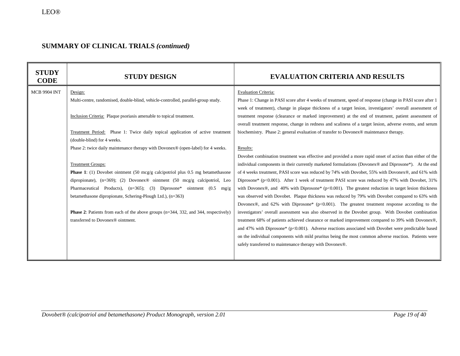| <b>STUDY</b><br><b>CODE</b> | <b>STUDY DESIGN</b>                                                                      | <b>EVALUATION CRITERIA AND RESULTS</b>                                                                         |
|-----------------------------|------------------------------------------------------------------------------------------|----------------------------------------------------------------------------------------------------------------|
| <b>MCB 9904 INT</b>         | Design:                                                                                  | <b>Evaluation Criteria:</b>                                                                                    |
|                             | Multi-centre, randomised, double-blind, vehicle-controlled, parallel-group study.        | Phase 1: Change in PASI score after 4 weeks of treatment, speed of response (change in PASI score after 1      |
|                             |                                                                                          | week of treatment), change in plaque thickness of a target lesion, investigators' overall assessment of        |
|                             | Inclusion Criteria: Plaque psoriasis amenable to topical treatment.                      | treatment response (clearance or marked improvement) at the end of treatment, patient assessment of            |
|                             |                                                                                          | overall treatment response, change in redness and scaliness of a target lesion, adverse events, and serum      |
|                             | Treatment Period: Phase 1: Twice daily topical application of active treatment           | biochemistry. Phase 2: general evaluation of transfer to Dovonex® maintenance therapy.                         |
|                             | (double-blind) for 4 weeks.                                                              |                                                                                                                |
|                             | Phase 2: twice daily maintenance therapy with Dovonex® (open-label) for 4 weeks.         | Results:                                                                                                       |
|                             |                                                                                          | Dovobet combination treatment was effective and provided a more rapid onset of action than either of the       |
|                             | <b>Treatment Groups:</b>                                                                 | individual components in their currently marketed formulations (Dovonex® and Diprosone*). At the end           |
|                             | <b>Phase 1</b> : (1) Dovobet ointment (50 mcg/g calcipotriol plus 0.5 mg betamethasone   | of 4 weeks treatment, PASI score was reduced by 74% with Dovobet, 55% with Dovonex®, and 61% with              |
|                             | dipropionate), $(n=369)$ ; (2) Dovonex <sup>®</sup> ointment (50 mcg/g calcipotriol, Leo | Diprosone* ( $p<0.001$ ). After 1 week of treatment PASI score was reduced by 47% with Dovobet, 31%            |
|                             | Pharmaceutical Products), (n=365); (3) Diprosone* ointment (0.5 mg/g                     | with Dovonex®, and 40% with Diprosone* $(p<0.001)$ . The greatest reduction in target lesion thickness         |
|                             | betamethasone dipropionate, Schering-Plough Ltd.), (n=363)                               | was observed with Dovobet. Plaque thickness was reduced by 79% with Dovobet compared to 63% with               |
|                             |                                                                                          | Dovonex <sup>®</sup> , and 62% with Diprosone* ( $p<0.001$ ). The greatest treatment response according to the |
|                             | Phase 2: Patients from each of the above groups (n=344, 332, and 344, respectively)      | investigators' overall assessment was also observed in the Dovobet group. With Dovobet combination             |
|                             | transferred to Dovonex <sup>®</sup> ointment.                                            | treatment 68% of patients achieved clearance or marked improvement compared to 39% with Dovonex®,              |
|                             |                                                                                          | and 47% with Diprosone* (p<0.001). Adverse reactions associated with Dovobet were predictable based            |
|                             |                                                                                          | on the individual components with mild pruritus being the most common adverse reaction. Patients were          |
|                             |                                                                                          | safely transferred to maintenance therapy with Dovonex®.                                                       |
|                             |                                                                                          |                                                                                                                |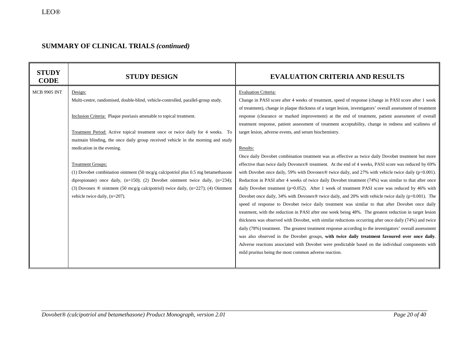| <b>MCB 9905 INT</b><br><b>Evaluation Criteria:</b><br>Design:<br>Multi-centre, randomised, double-blind, vehicle-controlled, parallel-group study.<br>Inclusion Criteria: Plaque psoriasis amenable to topical treatment.                                                                                                                                                                                                                                                                                                                                                                                                                                                           | <b>STUDY</b><br><b>CODE</b> | <b>STUDY DESIGN</b> | <b>EVALUATION CRITERIA AND RESULTS</b>                                                                                                                                                                                                                                                                                                                                                                                                                                                                                                                                                                                                                                                                                                                                                                                                                                                                                                                                                                                                                                                                                                                                                                                                                                                                                                                                                                                                                                                                                                                                                                                                                                                                                          |
|-------------------------------------------------------------------------------------------------------------------------------------------------------------------------------------------------------------------------------------------------------------------------------------------------------------------------------------------------------------------------------------------------------------------------------------------------------------------------------------------------------------------------------------------------------------------------------------------------------------------------------------------------------------------------------------|-----------------------------|---------------------|---------------------------------------------------------------------------------------------------------------------------------------------------------------------------------------------------------------------------------------------------------------------------------------------------------------------------------------------------------------------------------------------------------------------------------------------------------------------------------------------------------------------------------------------------------------------------------------------------------------------------------------------------------------------------------------------------------------------------------------------------------------------------------------------------------------------------------------------------------------------------------------------------------------------------------------------------------------------------------------------------------------------------------------------------------------------------------------------------------------------------------------------------------------------------------------------------------------------------------------------------------------------------------------------------------------------------------------------------------------------------------------------------------------------------------------------------------------------------------------------------------------------------------------------------------------------------------------------------------------------------------------------------------------------------------------------------------------------------------|
| Treatment Period: Active topical treatment once or twice daily for 4 weeks. To<br>target lesion, adverse events, and serum biochemistry.<br>maintain blinding, the once daily group received vehicle in the morning and study<br>medication in the evening.<br>Results:<br><b>Treatment Groups:</b><br>(1) Dovobet combination ointment $(50 \text{ mcg/g}$ calcipotriol plus 0.5 mg betamethasone<br>dipropionate) once daily, $(n=150)$ ; (2) Dovobet ointment twice daily, $(n=234)$ ;<br>(3) Dovonex $\otimes$ ointment (50 mcg/g calcipotriol) twice daily, (n=227); (4) Ointment<br>vehicle twice daily, $(n=207)$ .<br>mild pruritus being the most common adverse reaction. |                             |                     | Change in PASI score after 4 weeks of treatment, speed of response (change in PASI score after 1 week<br>of treatment), change in plaque thickness of a target lesion, investigators' overall assessment of treatment<br>response (clearance or marked improvement) at the end of treatment, patient assessment of overall<br>treatment response, patient assessment of treatment acceptability, change in redness and scaliness of<br>Once daily Dovobet combination treatment was as effective as twice daily Dovobet treatment but more<br>effective than twice daily Dovonex® treatment. At the end of 4 weeks, PASI score was reduced by 69%<br>with Dovobet once daily, 59% with Dovonex® twice daily, and 27% with vehicle twice daily ( $p<0.001$ ).<br>Reduction in PASI after 4 weeks of twice daily Dovobet treatment (74%) was similar to that after once<br>daily Dovobet treatment (p=0.052). After 1 week of treatment PASI score was reduced by 46% with<br>Dovobet once daily, 34% with Dovonex® twice daily, and 20% with vehicle twice daily ( $p<0.001$ ). The<br>speed of response to Dovobet twice daily treatment was similar to that after Dovobet once daily<br>treatment, with the reduction in PASI after one week being 48%. The greatest reduction in target lesion<br>thickness was observed with Dovobet, with similar reductions occurring after once daily (74%) and twice<br>daily (78%) treatment. The greatest treatment response according to the investigators' overall assessment<br>was also observed in the Dovobet groups, with twice daily treatment favoured over once daily.<br>Adverse reactions associated with Dovobet were predictable based on the individual components with |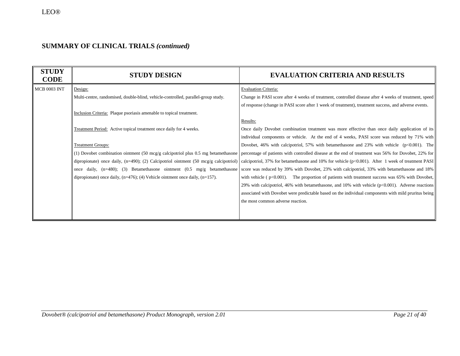| <b>STUDY</b><br><b>CODE</b> | <b>STUDY DESIGN</b>                                                                          | <b>EVALUATION CRITERIA AND RESULTS</b>                                                                |
|-----------------------------|----------------------------------------------------------------------------------------------|-------------------------------------------------------------------------------------------------------|
| <b>MCB 0003 INT</b>         | Design:                                                                                      | <b>Evaluation Criteria:</b>                                                                           |
|                             | Multi-centre, randomised, double-blind, vehicle-controlled, parallel-group study.            | Change in PASI score after 4 weeks of treatment, controlled disease after 4 weeks of treatment, speed |
|                             |                                                                                              | of response (change in PASI score after 1 week of treatment), treatment success, and adverse events.  |
|                             | Inclusion Criteria: Plaque psoriasis amenable to topical treatment.                          |                                                                                                       |
|                             |                                                                                              | Results:                                                                                              |
|                             | Treatment Period: Active topical treatment once daily for 4 weeks.                           | Once daily Dovobet combination treatment was more effective than once daily application of its        |
|                             |                                                                                              | individual components or vehicle. At the end of 4 weeks, PASI score was reduced by 71% with           |
|                             | <b>Treatment Groups:</b>                                                                     | Dovobet, 46% with calcipotriol, 57% with betamethasone and 23% with vehicle $(p<0.001)$ . The         |
|                             | (1) Dovobet combination ointment $(50 \text{~mag/g})$ calcipotriol plus 0.5 mg betamethasone | percentage of patients with controlled disease at the end of treatment was 56% for Dovobet, 22% for   |
|                             | dipropionate) once daily, $(n=490)$ ; (2) Calcipotriol ointment (50 mcg/g calcipotriol)      | calcipotriol, 37% for betamethasone and 10% for vehicle ( $p<0.001$ ). After 1 week of treatment PASI |
|                             | daily, $(n=480)$ ; (3) Betamethasone ointment $(0.5 \text{ mg/g}$ betamethasone<br>once      | score was reduced by 39% with Dovobet, 23% with calcipotriol, 33% with betamethasone and 18%          |
|                             | dipropionate) once daily, $(n=476)$ ; (4) Vehicle ointment once daily, $(n=157)$ .           | with vehicle ( $p<0.001$ ). The proportion of patients with treatment success was 65% with Dovobet,   |
|                             |                                                                                              | 29% with calcipotriol, 46% with betamethasone, and 10% with vehicle $(p<0.001)$ . Adverse reactions   |
|                             |                                                                                              | associated with Dovobet were predictable based on the individual components with mild pruritus being  |
|                             |                                                                                              | the most common adverse reaction.                                                                     |
|                             |                                                                                              |                                                                                                       |
|                             |                                                                                              |                                                                                                       |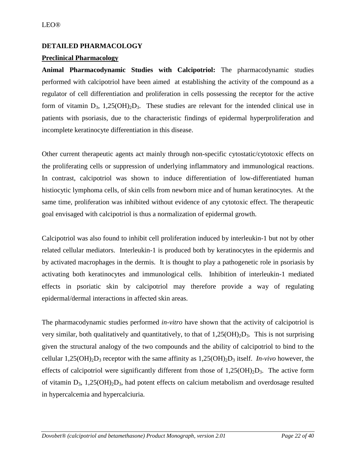# <span id="page-21-0"></span>**DETAILED PHARMACOLOGY**

# **Preclinical Pharmacology**

**Animal Pharmacodynamic Studies with Calcipotriol:** The pharmacodynamic studies performed with calcipotriol have been aimed at establishing the activity of the compound as a regulator of cell differentiation and proliferation in cells possessing the receptor for the active form of vitamin  $D_3$ , 1,25(OH)<sub>2</sub>D<sub>3</sub>. These studies are relevant for the intended clinical use in patients with psoriasis, due to the characteristic findings of epidermal hyperproliferation and incomplete keratinocyte differentiation in this disease.

Other current therapeutic agents act mainly through non-specific cytostatic/cytotoxic effects on the proliferating cells or suppression of underlying inflammatory and immunological reactions. In contrast, calcipotriol was shown to induce differentiation of low-differentiated human histiocytic lymphoma cells, of skin cells from newborn mice and of human keratinocytes. At the same time, proliferation was inhibited without evidence of any cytotoxic effect. The therapeutic goal envisaged with calcipotriol is thus a normalization of epidermal growth.

Calcipotriol was also found to inhibit cell proliferation induced by interleukin-1 but not by other related cellular mediators. Interleukin-1 is produced both by keratinocytes in the epidermis and by activated macrophages in the dermis. It is thought to play a pathogenetic role in psoriasis by activating both keratinocytes and immunological cells. Inhibition of interleukin-1 mediated effects in psoriatic skin by calcipotriol may therefore provide a way of regulating epidermal/dermal interactions in affected skin areas.

The pharmacodynamic studies performed *in-vitro* have shown that the activity of calcipotriol is very similar, both qualitatively and quantitatively, to that of  $1,25(OH)_{2}D_{3}$ . This is not surprising given the structural analogy of the two compounds and the ability of calcipotriol to bind to the cellular  $1,25(OH)_{2}D_{3}$  receptor with the same affinity as  $1,25(OH)_{2}D_{3}$  itself. *In-vivo* however, the effects of calcipotriol were significantly different from those of  $1,25(OH)_2D_3$ . The active form of vitamin  $D_3$ ,  $1,25(OH)_2D_3$ , had potent effects on calcium metabolism and overdosage resulted in hypercalcemia and hypercalciuria.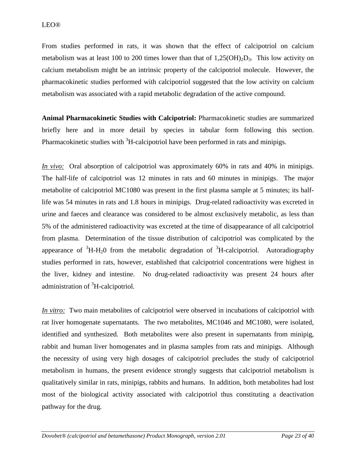From studies performed in rats, it was shown that the effect of calcipotriol on calcium metabolism was at least 100 to 200 times lower than that of  $1,25(OH)_{2}D_{3}$ . This low activity on calcium metabolism might be an intrinsic property of the calcipotriol molecule. However, the pharmacokinetic studies performed with calcipotriol suggested that the low activity on calcium metabolism was associated with a rapid metabolic degradation of the active compound.

**Animal Pharmacokinetic Studies with Calcipotriol:** Pharmacokinetic studies are summarized briefly here and in more detail by species in tabular form following this section. Pharmacokinetic studies with  ${}^{3}$ H-calcipotriol have been performed in rats and minipigs.

*In vivo:* Oral absorption of calcipotriol was approximately 60% in rats and 40% in minipigs. The half-life of calcipotriol was 12 minutes in rats and 60 minutes in minipigs. The major metabolite of calcipotriol MC1080 was present in the first plasma sample at 5 minutes; its halflife was 54 minutes in rats and 1.8 hours in minipigs. Drug-related radioactivity was excreted in urine and faeces and clearance was considered to be almost exclusively metabolic, as less than 5% of the administered radioactivity was excreted at the time of disappearance of all calcipotriol from plasma. Determination of the tissue distribution of calcipotriol was complicated by the appearance of  ${}^{3}H-H_{2}O$  from the metabolic degradation of  ${}^{3}H$ -calcipotriol. Autoradiography studies performed in rats, however, established that calcipotriol concentrations were highest in the liver, kidney and intestine. No drug-related radioactivity was present 24 hours after administration of <sup>3</sup>H-calcipotriol.

*In vitro:* Two main metabolites of calcipotriol were observed in incubations of calcipotriol with rat liver homogenate supernatants. The two metabolites, MC1046 and MC1080, were isolated, identified and synthesized. Both metabolites were also present in supernatants from minipig, rabbit and human liver homogenates and in plasma samples from rats and minipigs. Although the necessity of using very high dosages of calcipotriol precludes the study of calcipotriol metabolism in humans, the present evidence strongly suggests that calcipotriol metabolism is qualitatively similar in rats, minipigs, rabbits and humans. In addition, both metabolites had lost most of the biological activity associated with calcipotriol thus constituting a deactivation pathway for the drug.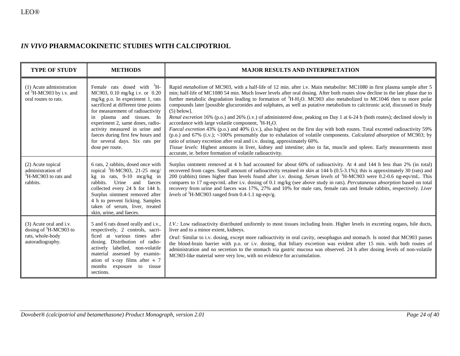# *IN VIVO* **PHARMACOKINETIC STUDIES WITH CALCIPOTRIOL**

| <b>TYPE OF STUDY</b>                                                                                                                                                                                                                                                                                                                                                                                                                                                   | <b>METHODS</b>                                                                                                                                                                                                                                                                                              | <b>MAJOR RESULTS AND INTERPRETATION</b>                                                                                                                                                                                                                                                                                                                                                                                                                                                                                                                                                                                                                                                                                                                                                                                                                                                                                                                                                                                                                                                                                                                                                                                                                                                     |  |  |
|------------------------------------------------------------------------------------------------------------------------------------------------------------------------------------------------------------------------------------------------------------------------------------------------------------------------------------------------------------------------------------------------------------------------------------------------------------------------|-------------------------------------------------------------------------------------------------------------------------------------------------------------------------------------------------------------------------------------------------------------------------------------------------------------|---------------------------------------------------------------------------------------------------------------------------------------------------------------------------------------------------------------------------------------------------------------------------------------------------------------------------------------------------------------------------------------------------------------------------------------------------------------------------------------------------------------------------------------------------------------------------------------------------------------------------------------------------------------------------------------------------------------------------------------------------------------------------------------------------------------------------------------------------------------------------------------------------------------------------------------------------------------------------------------------------------------------------------------------------------------------------------------------------------------------------------------------------------------------------------------------------------------------------------------------------------------------------------------------|--|--|
| (1) Acute administration<br>Female rats dosed with ${}^{3}H-$<br>of ${}^{3}H$ -MC903 by i.v. and<br>MC903, 0.10 mg/kg i.v. or 0.20<br>mg/kg p.o. In experiment 1, rats<br>oral routes to rats.<br>sacrificed at different time points<br>for measurement of radioactivity<br>in plasma and tissues. In<br>experiment 2, same doses, radio-<br>activity measured in urine and<br>faeces during first few hours and<br>for several days. Six rats per<br>dose per route. |                                                                                                                                                                                                                                                                                                             | Rapid <i>metabolism</i> of MC903, with a half-life of 12 min. after i.v. Main metabolite: MC1080 in first plasma sample after 5<br>min; half-life of MC1080 54 min. Much lower levels after oral dosing. After both routes slow decline in the late phase due to<br>further metabolic degradation leading to formation of <sup>3</sup> H-H <sub>2</sub> O. MC903 also metabolized to MC1046 then to more polar<br>compounds later [possible glucuronides and sulphates, as well as putative metabolism to calcitronic acid, discussed in Study<br>$(5)$ below].<br>Renal excretion 16% (p.o.) and 26% (i.v.) of administered dose, peaking on Day 1 at 6-24 h (both routes); declined slowly in<br>accordance with large volatile component, ${}^{3}H-H_{2}O$ .<br>Faecal excretion 43% (p.o.) and 40% (i.v.), also highest on the first day with both routes. Total excreted radioactivity 59%<br>(p.o.) and 67% (i.v.); <100% presumably due to exhalation of volatile components. Calculated absorption of MC903; by<br>ratio of urinary excretion after oral and i.v. dosing, approximately 60%.<br>Tissue levels: Highest amounts in liver, kidney and intestine; also in fat, muscle and spleen. Early measurements most<br>accurate, ie. before formation of volatile radioactivity. |  |  |
| (2) Acute topical<br>administration of<br><sup>3</sup> H-MC903 to rats and<br>rabbits.                                                                                                                                                                                                                                                                                                                                                                                 | 6 rats, 2 rabbits, dosed once with<br>topical ${}^{3}$ H-MC903, 21-25 mcg/<br>kg in rats, 9-10 mcg/kg in<br>rabbits. Urine and faeces<br>collected every 24 h for 144 h.<br>Surplus ointment removed after<br>4 h to prevent licking. Samples<br>taken of serum, liver, treated<br>skin, urine, and faeces. | Surplus ointment removed at 4 h had accounted for about 60% of radioactivity. At 4 and 144 h less than 2% (in total)<br>recovered from cages. Small amount of radioactivity retained in skin at 144 h (0.5-3.1%); this is approximately 30 (rats) and<br>200 (rabbits) times higher than levels found after i.v. dosing. Serum levels of <sup>3</sup> H-MC903 were 0.2-0.6 ng-eqv/mL. This<br>compares to 17 ng-eqv/mL after i.v. dosing of 0.1 mg/kg (see above study in rats). Percutaneous absorption based on total<br>recovery from urine and faeces was 17%, 27% and 10% for male rats, female rats and female rabbits, respectively. Liver<br><i>levels</i> of ${}^{3}H-MC903$ ranged from 0.4-1.1 ng-eqv/g.                                                                                                                                                                                                                                                                                                                                                                                                                                                                                                                                                                         |  |  |
| (3) Acute oral and i.v.<br>5 and 6 rats dosed orally and i.v.,<br>dosing of ${}^{3}H-MC903$ to<br>respectively, 2 controls, sacri-<br>rats, whole-body<br>ficed at various times after<br>autoradiography.<br>dosing. Distribution of radio-<br>actively labelled, non-volatile<br>material assessed by examin-<br>ation of x-ray films after $\approx$ 7<br>months<br>exposure<br>to<br>tissue<br>sections.                                                           |                                                                                                                                                                                                                                                                                                             | I.V.: Low radioactivity distributed uniformly to most tissues including brain. Higher levels in excreting organs, bile ducts,<br>liver and to a minor extent, kidneys.<br>Oral: Similar to i.v. dosing, except more radioactivity in oral cavity, oesophagus and stomach. Is noted that MC903 passes<br>the blood-brain barrier with p.o. or i.v. dosing, that biliary excretion was evident after 15 min. with both routes of<br>administration and no secretion to the stomach via gastric mucosa was observed. 24 h after dosing levels of non-volatile<br>MC903-like material were very low, with no evidence for accumulation.                                                                                                                                                                                                                                                                                                                                                                                                                                                                                                                                                                                                                                                         |  |  |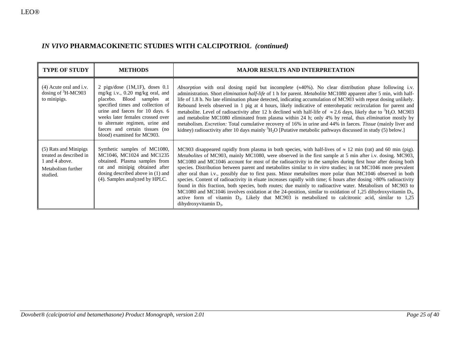# *IN VIVO* **PHARMACOKINETIC STUDIES WITH CALCIPOTRIOL** *(continued)*

| <b>TYPE OF STUDY</b>                                                                                 | <b>METHODS</b>                                                                                                                                                                                                                                                                                                    | <b>MAJOR RESULTS AND INTERPRETATION</b>                                                                                                                                                                                                                                                                                                                                                                                                                                                                                                                                                                                                                                                                                                                                                                                                                                                                                                                                                                                                                                         |
|------------------------------------------------------------------------------------------------------|-------------------------------------------------------------------------------------------------------------------------------------------------------------------------------------------------------------------------------------------------------------------------------------------------------------------|---------------------------------------------------------------------------------------------------------------------------------------------------------------------------------------------------------------------------------------------------------------------------------------------------------------------------------------------------------------------------------------------------------------------------------------------------------------------------------------------------------------------------------------------------------------------------------------------------------------------------------------------------------------------------------------------------------------------------------------------------------------------------------------------------------------------------------------------------------------------------------------------------------------------------------------------------------------------------------------------------------------------------------------------------------------------------------|
| $(4)$ Acute oral and i.v.<br>dosing of ${}^{3}$ H-MC903<br>to minipigs.                              | 2 pigs/dose $(1M,1F)$ , doses 0.1<br>mg/kg i.v., 0.20 mg/kg oral, and<br>placebo. Blood samples at<br>specified times and collection of<br>urine and faeces for 10 days. 6<br>weeks later females crossed over<br>to alternate regimen, urine and<br>faeces and certain tissues (no<br>blood) examined for MC903. | <i>Absorption</i> with oral dosing rapid but incomplete $(\approx 40\%)$ . No clear distribution phase following i.v.<br>administration. Short elimination half-life of 1 h for parent. Metabolite MC1080 apparent after 5 min, with half-<br>life of 1.8 h. No late elimination phase detected, indicating accumulation of MC903 with repeat dosing unlikely.<br>Rebound levels observed in 1 pig at 4 hours, likely indicative of enterohepatic recirculation for parent and<br>metabolite. Level of radioactivity after 12 h declined with half-life of $\approx 2.6$ days, likely due to ${}^{3}H_{2}O$ . MC903<br>and metabolite MC1080 eliminated from plasma within 24 h; only 4% by renal, thus <i>elimination</i> mostly by<br>metabolism. Excretion: Total cumulative recovery of 16% in urine and 44% in faeces. Tissue (mainly liver and<br>kidney) radioactivity after 10 days mainly ${}^{3}H_{2}O$ [Putative metabolic pathways discussed in study (5) below.]                                                                                                   |
| (5) Rats and Minipigs<br>treated as described in<br>1 and 4 above.<br>Metabolism further<br>studied. | Synthetic samples of MC1080,<br>MC1046, MC1024 and MC1235<br>obtained. Plasma samples from<br>rat and minipig obtained after<br>dosing described above in $(1)$ and<br>(4). Samples analyzed by HPLC.                                                                                                             | MC903 disappeared rapidly from plasma in both species, with half-lives of $\approx$ 12 min (rat) and 60 min (pig).<br>Metabolites of MC903, mainly MC1080, were observed in the first sample at 5 min after i.v. dosing. MC903,<br>MC1080 and MC1046 account for most of the radioactivity in the samples during first hour after dosing both<br>species. Distribution between parent and metabolites similar to in vitro studies; in rat MC1046 more prevalent<br>after oral than i.v., possibly due to first pass. Minor metabolites more polar than MC1046 observed in both<br>species. Content of radioactivity in eluate increases rapidly with time; 6 hours after dosing >80% radioactivity<br>found in this fraction, both species, both routes; due mainly to radioactive water. Metabolism of MC903 to<br>MC1080 and MC1046 involves oxidation at the 24-position, similar to oxidation of 1,25 dihydroxyvitamin D <sub>3</sub> ,<br>active form of vitamin $D_3$ . Likely that MC903 is metabolized to calcitronic acid, similar to 1,25<br>dihydroxyvitamin $D_3$ . |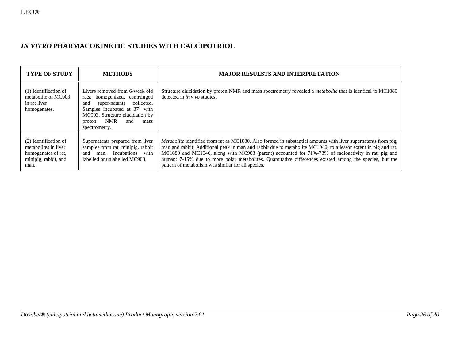# *IN VITRO* **PHARMACOKINETIC STUDIES WITH CALCIPOTRIOL**

| <b>TYPE OF STUDY</b>                                                                                 | <b>METHODS</b>                                                                                                                                                                                                                        | <b>MAJOR RESULSTS AND INTERPRETATION</b>                                                                                                                                                                                                                                                                                                                                                                                                                                                                        |  |  |
|------------------------------------------------------------------------------------------------------|---------------------------------------------------------------------------------------------------------------------------------------------------------------------------------------------------------------------------------------|-----------------------------------------------------------------------------------------------------------------------------------------------------------------------------------------------------------------------------------------------------------------------------------------------------------------------------------------------------------------------------------------------------------------------------------------------------------------------------------------------------------------|--|--|
| (1) Identification of<br>metabolite of MC903<br>in rat liver<br>homogenates.                         | Livers removed from 6-week old<br>homogenized, centrifuged<br>rats.<br>collected.<br>super-natants<br>and<br>Samples incubated at 37° with<br>MC903. Structure elucidation by<br><b>NMR</b><br>and<br>mass<br>proton<br>spectrometry. | Structure elucidation by proton NMR and mass spectrometry revealed a <i>metabolite</i> that is identical to MC1080<br>detected in <i>in vivo</i> studies.                                                                                                                                                                                                                                                                                                                                                       |  |  |
| (2) Identification of<br>metabolites in liver<br>homogenates of rat.<br>minipig, rabbit, and<br>man. | Supernatants prepared from liver<br>samples from rat, minipig, rabbit<br>Incubations with<br>man.<br>and<br>labelled or unlabelled MC903.                                                                                             | <i>Metabolite</i> identified from rat as MC1080. Also formed in substantial amounts with liver supernatants from pig,<br>man and rabbit. Additional peak in man and rabbit due to metabolite MC1046; to a lessor extent in pig and rat.<br>MC1080 and MC1046, along with MC903 (parent) accounted for 71%-73% of radioactivity in rat, pig and<br>human; 7-15% due to more polar metabolites. Quantitative differences existed among the species, but the<br>pattern of metabolism was similar for all species. |  |  |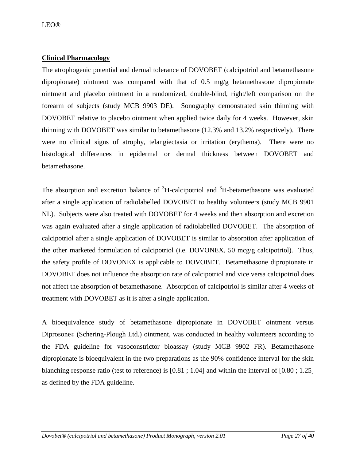# **Clinical Pharmacology**

The atrophogenic potential and dermal tolerance of DOVOBET (calcipotriol and betamethasone dipropionate) ointment was compared with that of 0.5 mg/g betamethasone dipropionate ointment and placebo ointment in a randomized, double-blind, right/left comparison on the forearm of subjects (study MCB 9903 DE). Sonography demonstrated skin thinning with DOVOBET relative to placebo ointment when applied twice daily for 4 weeks. However, skin thinning with DOVOBET was similar to betamethasone (12.3% and 13.2% respectively). There were no clinical signs of atrophy, telangiectasia or irritation (erythema). There were no histological differences in epidermal or dermal thickness between DOVOBET and betamethasone.

The absorption and excretion balance of  ${}^{3}$ H-calcipotriol and  ${}^{3}$ H-betamethasone was evaluated after a single application of radiolabelled DOVOBET to healthy volunteers (study MCB 9901 NL). Subjects were also treated with DOVOBET for 4 weeks and then absorption and excretion was again evaluated after a single application of radiolabelled DOVOBET. The absorption of calcipotriol after a single application of DOVOBET is similar to absorption after application of the other marketed formulation of calcipotriol (i.e. DOVONEX, 50 mcg/g calcipotriol). Thus, the safety profile of DOVONEX is applicable to DOVOBET. Betamethasone dipropionate in DOVOBET does not influence the absorption rate of calcipotriol and vice versa calcipotriol does not affect the absorption of betamethasone. Absorption of calcipotriol is similar after 4 weeks of treatment with DOVOBET as it is after a single application.

A bioequivalence study of betamethasone dipropionate in DOVOBET ointment versus Diprosone® (Schering-Plough Ltd.) ointment, was conducted in healthy volunteers according to the FDA guideline for vasoconstrictor bioassay (study MCB 9902 FR). Betamethasone dipropionate is bioequivalent in the two preparations as the 90% confidence interval for the skin blanching response ratio (test to reference) is [0.81 ; 1.04] and within the interval of [0.80 ; 1.25] as defined by the FDA guideline.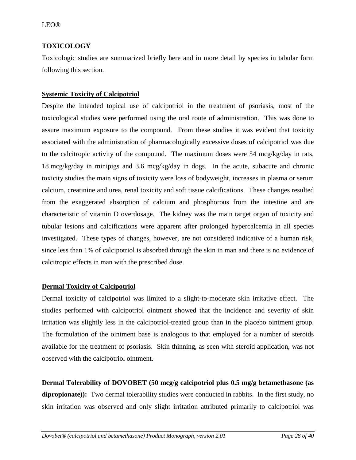# <span id="page-27-0"></span>**TOXICOLOGY**

Toxicologic studies are summarized briefly here and in more detail by species in tabular form following this section.

# **Systemic Toxicity of Calcipotriol**

Despite the intended topical use of calcipotriol in the treatment of psoriasis, most of the toxicological studies were performed using the oral route of administration. This was done to assure maximum exposure to the compound. From these studies it was evident that toxicity associated with the administration of pharmacologically excessive doses of calcipotriol was due to the calcitropic activity of the compound. The maximum doses were 54 mcg/kg/day in rats, 18 mcg/kg/day in minipigs and 3.6 mcg/kg/day in dogs. In the acute, subacute and chronic toxicity studies the main signs of toxicity were loss of bodyweight, increases in plasma or serum calcium, creatinine and urea, renal toxicity and soft tissue calcifications. These changes resulted from the exaggerated absorption of calcium and phosphorous from the intestine and are characteristic of vitamin D overdosage. The kidney was the main target organ of toxicity and tubular lesions and calcifications were apparent after prolonged hypercalcemia in all species investigated. These types of changes, however, are not considered indicative of a human risk, since less than 1% of calcipotriol is absorbed through the skin in man and there is no evidence of calcitropic effects in man with the prescribed dose.

# **Dermal Toxicity of Calcipotriol**

Dermal toxicity of calcipotriol was limited to a slight-to-moderate skin irritative effect. The studies performed with calcipotriol ointment showed that the incidence and severity of skin irritation was slightly less in the calcipotriol-treated group than in the placebo ointment group. The formulation of the ointment base is analogous to that employed for a number of steroids available for the treatment of psoriasis. Skin thinning, as seen with steroid application, was not observed with the calcipotriol ointment.

**Dermal Tolerability of DOVOBET (50 mcg/g calcipotriol plus 0.5 mg/g betamethasone (as**  dipropionate)): Two dermal tolerability studies were conducted in rabbits. In the first study, no skin irritation was observed and only slight irritation attributed primarily to calcipotriol was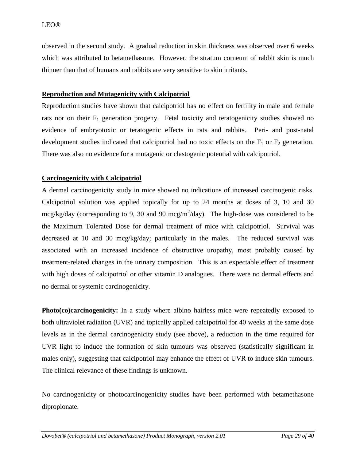observed in the second study. A gradual reduction in skin thickness was observed over 6 weeks which was attributed to betamethasone. However, the stratum corneum of rabbit skin is much thinner than that of humans and rabbits are very sensitive to skin irritants.

# **Reproduction and Mutagenicity with Calcipotriol**

Reproduction studies have shown that calcipotriol has no effect on fertility in male and female rats nor on their  $F_1$  generation progeny. Fetal toxicity and teratogenicity studies showed no evidence of embryotoxic or teratogenic effects in rats and rabbits. Peri- and post-natal development studies indicated that calcipotriol had no toxic effects on the  $F_1$  or  $F_2$  generation. There was also no evidence for a mutagenic or clastogenic potential with calcipotriol.

# **Carcinogenicity with Calcipotriol**

A dermal carcinogenicity study in mice showed no indications of increased carcinogenic risks. Calcipotriol solution was applied topically for up to 24 months at doses of 3, 10 and 30  $mcg/kg/day$  (corresponding to 9, 30 and 90 mcg/m<sup>2</sup>/day). The high-dose was considered to be the Maximum Tolerated Dose for dermal treatment of mice with calcipotriol. Survival was decreased at 10 and 30 mcg/kg/day; particularly in the males. The reduced survival was associated with an increased incidence of obstructive uropathy, most probably caused by treatment-related changes in the urinary composition. This is an expectable effect of treatment with high doses of calcipotriol or other vitamin D analogues. There were no dermal effects and no dermal or systemic carcinogenicity.

**Photo(co)carcinogenicity:** In a study where albino hairless mice were repeatedly exposed to both ultraviolet radiation (UVR) and topically applied calcipotriol for 40 weeks at the same dose levels as in the dermal carcinogenicity study (see above), a reduction in the time required for UVR light to induce the formation of skin tumours was observed (statistically significant in males only), suggesting that calcipotriol may enhance the effect of UVR to induce skin tumours. The clinical relevance of these findings is unknown.

No carcinogenicity or photocarcinogenicity studies have been performed with betamethasone dipropionate.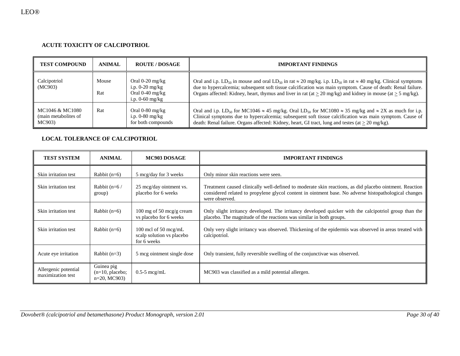### **ACUTE TOXICITY OF CALCIPOTRIOL**

| <b>TEST COMPOUND</b>                              | <b>ANIMAL</b> | <b>ROUTE / DOSAGE</b>                                                            | <b>IMPORTANT FINDINGS</b>                                                                                                                                                                                                                                                                                                                                                                               |
|---------------------------------------------------|---------------|----------------------------------------------------------------------------------|---------------------------------------------------------------------------------------------------------------------------------------------------------------------------------------------------------------------------------------------------------------------------------------------------------------------------------------------------------------------------------------------------------|
| Calcipotriol<br>(MC903)                           | Mouse<br>Rat  | Oral $0-20$ mg/kg<br>i.p. $0-20$ mg/kg<br>Oral $0-40$ mg/kg<br>i.p. $0-60$ mg/kg | Oral and i.p. LD <sub>50</sub> in mouse and oral LD <sub>50</sub> in rat $\approx 20$ mg/kg. i.p. LD <sub>50</sub> in rat $\approx 40$ mg/kg. Clinical symptoms<br>due to hypercalcemia; subsequent soft tissue calcification was main symptom. Cause of death: Renal failure.<br>Organs affected: Kidney, heart, thymus and liver in rat (at $\geq$ 20 mg/kg) and kidney in mouse (at $\geq$ 5 mg/kg). |
| MC1046 & MC1080<br>(main metabolites of<br>MC903) | Rat           | Oral $0-80$ mg/kg<br>i.p. $0-80$ mg/kg<br>for both compounds                     | Oral and i.p. LD <sub>50</sub> for MC1046 $\approx$ 45 mg/kg. Oral LD <sub>50</sub> for MC1080 $\approx$ 35 mg/kg and $\approx$ 2X as much for i.p.<br>Clinical symptoms due to hypercalcemia; subsequent soft tissue calcification was main symptom. Cause of<br>death: Renal failure. Organs affected: Kidney, heart, GI tract, lung and testes (at $\geq$ 20 mg/kg).                                 |

### **LOCAL TOLERANCE OF CALCIPOTRIOL**

| <b>TEST SYSTEM</b>                        | <b>ANIMAL</b>                                                                      | MC903 DOSAGE                                       | <b>IMPORTANT FINDINGS</b>                                                                                                                                                                                                         |  |  |
|-------------------------------------------|------------------------------------------------------------------------------------|----------------------------------------------------|-----------------------------------------------------------------------------------------------------------------------------------------------------------------------------------------------------------------------------------|--|--|
| Skin irritation test                      | Rabbit $(n=6)$                                                                     | 5 mcg/day for 3 weeks                              | Only minor skin reactions were seen.                                                                                                                                                                                              |  |  |
| Skin irritation test                      | Rabbit $(n=6)$<br>group)                                                           | 25 mcg/day ointment vs.<br>placebo for 6 weeks     | Treatment caused clinically well-defined to moderate skin reactions, as did placebo ointment. Reaction<br>considered related to propylene glycol content in ointment base. No adverse histopathological changes<br>were observed. |  |  |
| Skin irritation test                      | Rabbit $(n=6)$                                                                     | 100 mg of 50 mcg/g cream<br>vs placebo for 6 weeks | Only slight irritancy developed. The irritancy developed quicker with the calcipotriol group than the<br>placebo. The magnitude of the reactions was similar in both groups.                                                      |  |  |
| Skin irritation test                      | Rabbit $(n=6)$<br>100 mcl of 50 mcg/mL<br>scalp solution vs placebo<br>for 6 weeks |                                                    | Only very slight irritancy was observed. Thickening of the epidermis was observed in areas treated with<br>calcipotriol.                                                                                                          |  |  |
| Acute eye irritation                      | Rabbit $(n=3)$                                                                     | 5 mcg ointment single dose                         | Only transient, fully reversible swelling of the conjunctivae was observed.                                                                                                                                                       |  |  |
| Allergenic potential<br>maximization test | Guinea pig<br>$(n=10, placebo;$<br>$n=20$ , MC903)                                 | $0.5-5$ mcg/mL                                     | MC903 was classified as a mild potential allergen.                                                                                                                                                                                |  |  |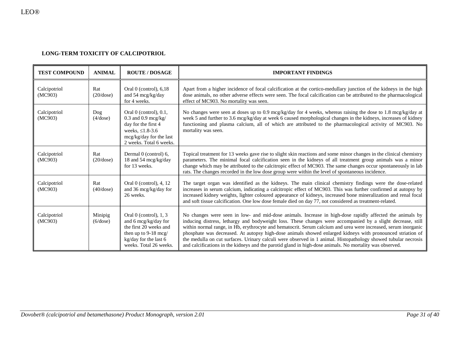### **LONG-TERM TOXICITY OF CALCIPOTRIOL**

| <b>TEST COMPOUND</b>    | <b>ANIMAL</b>             | <b>ROUTE / DOSAGE</b>                                                                                                                                          | <b>IMPORTANT FINDINGS</b>                                                                                                                                                                                                                                                                                                                                                                                                                                                                                                                                                                                                                                                             |  |  |
|-------------------------|---------------------------|----------------------------------------------------------------------------------------------------------------------------------------------------------------|---------------------------------------------------------------------------------------------------------------------------------------------------------------------------------------------------------------------------------------------------------------------------------------------------------------------------------------------------------------------------------------------------------------------------------------------------------------------------------------------------------------------------------------------------------------------------------------------------------------------------------------------------------------------------------------|--|--|
| Calcipotriol<br>(MC903) | Rat<br>$(20/\text{dose})$ | Oral $0$ (control), $6,18$<br>and 54 $mcg/kg/day$<br>for 4 weeks.                                                                                              | Apart from a higher incidence of focal calcification at the cortico-medullary junction of the kidneys in the high<br>dose animals, no other adverse effects were seen. The focal calcification can be attributed to the pharmacological<br>effect of MC903. No mortality was seen.                                                                                                                                                                                                                                                                                                                                                                                                    |  |  |
| Calcipotriol<br>(MC903) | $\log$<br>(4/dose)        | Oral $0$ (control), $0.1$ ,<br>$0.3$ and $0.9$ mcg/kg/<br>day for the first 4<br>weeks, $\leq 1.8 - 3.6$<br>mcg/kg/day for the last<br>2 weeks. Total 6 weeks. | No changes were seen at doses up to 0.9 mcg/kg/day for 4 weeks, whereas raising the dose to 1.8 mcg/kg/day at<br>week 5 and further to 3.6 mcg/kg/day at week 6 caused morphological changes in the kidneys, increases of kidney<br>functioning and plasma calcium, all of which are attributed to the pharmacological activity of MC903. No<br>mortality was seen.                                                                                                                                                                                                                                                                                                                   |  |  |
| Calcipotriol<br>(MC903) | Rat<br>$(20/\text{dose})$ | Dermal 0 (control) 6,<br>18 and 54 mcg/kg/day<br>for 13 weeks.                                                                                                 | Topical treatment for 13 weeks gave rise to slight skin reactions and some minor changes in the clinical chemistry<br>parameters. The minimal focal calcification seen in the kidneys of all treatment group animals was a minor<br>change which may be attributed to the calcitropic effect of MC903. The same changes occur spontaneously in lab<br>rats. The changes recorded in the low dose group were within the level of spontaneous incidence.                                                                                                                                                                                                                                |  |  |
| Calcipotriol<br>(MC903) | Rat<br>$(40/\text{dose})$ | Oral 0 (control), 4, 12<br>and 36 mcg/kg/day for<br>26 weeks.                                                                                                  | The target organ was identified as the kidneys. The main clinical chemistry findings were the dose-related<br>increases in serum calcium, indicating a calcitropic effect of MC903. This was further confirmed at autopsy by<br>increased kidney weights, lighter coloured appearance of kidneys, increased bone mineralization and renal focal<br>and soft tissue calcification. One low dose female died on day 77, not considered as treatment-related.                                                                                                                                                                                                                            |  |  |
| Calcipotriol<br>(MC903) | Minipig<br>(6/dose)       | Oral $0$ (control), $1, 3$<br>and 6 mcg/kg/day for<br>the first 20 weeks and<br>then up to 9-18 mcg/<br>kg/day for the last 6<br>weeks. Total 26 weeks.        | No changes were seen in low- and mid-dose animals. Increase in high-dose rapidly affected the animals by<br>inducing distress, lethargy and bodyweight loss. These changes were accompanied by a slight decrease, still<br>within normal range, in Hb, erythrocyte and hematocrit. Serum calcium and urea were increased, serum inorganic<br>phosphate was decreased. At autopsy high-dose animals showed enlarged kidneys with pronounced striation of<br>the medulla on cut surfaces. Urinary calculi were observed in 1 animal. Histopathology showed tubular necrosis<br>and calcifications in the kidneys and the parotid gland in high-dose animals. No mortality was observed. |  |  |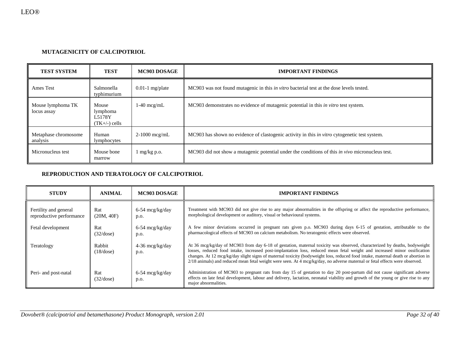### **MUTAGENICITY OF CALCIPOTRIOL**

| <b>TEST SYSTEM</b>               | <b>TEST</b>                                             | MC903 DOSAGE      | <b>IMPORTANT FINDINGS</b>                                                                               |  |  |
|----------------------------------|---------------------------------------------------------|-------------------|---------------------------------------------------------------------------------------------------------|--|--|
| Ames Test                        | Salmonella<br>typhimurium                               | $0.01-1$ mg/plate | MC903 was not found mutagenic in this <i>in vitro</i> bacterial test at the dose levels tested.         |  |  |
| Mouse lymphoma TK<br>locus assay | Mouse<br>lymphoma<br>L5178Y<br>$(TK+\mathcal{C})$ cells | $1-40$ mcg/mL     | MC903 demonstrates no evidence of mutagenic potential in this <i>in vitro</i> test system.              |  |  |
| Metaphase chromosome<br>analysis | Human<br>lymphocytes                                    | $2-1000$ mcg/mL   | MC903 has shown no evidence of clastogenic activity in this <i>in vitro</i> cytogenetic test system.    |  |  |
| Micronucleus test                | Mouse bone<br>marrow                                    | $mg/kg$ p.o.      | MC903 did not show a mutagenic potential under the conditions of this <i>in vivo</i> micronucleus test. |  |  |

### **REPRODUCTION AND TERATOLOGY OF CALCIPOTRIOL**

| <b>STUDY</b>                                      | <b>ANIMAL</b>       | MC903 DOSAGE              | <b>IMPORTANT FINDINGS</b>                                                                                                                                                                                                                                                                                                                                                                                                                                                                                                   |  |
|---------------------------------------------------|---------------------|---------------------------|-----------------------------------------------------------------------------------------------------------------------------------------------------------------------------------------------------------------------------------------------------------------------------------------------------------------------------------------------------------------------------------------------------------------------------------------------------------------------------------------------------------------------------|--|
| Fertility and general<br>reproductive performance | Rat<br>(20M, 40F)   | $6-54$ mcg/kg/day<br>p.o. | Treatment with MC903 did not give rise to any major abnormalities in the offspring or affect the reproductive performance,<br>morphological development or auditory, visual or behavioural systems.                                                                                                                                                                                                                                                                                                                         |  |
| Fetal development                                 | Rat<br>(32/dose)    | $6-54$ mcg/kg/day<br>p.o. | A few minor deviations occurred in pregnant rats given p.o. MC903 during days 6-15 of gestation, attributable to the<br>pharmacological effects of MC903 on calcium metabolism. No teratogenic effects were observed.                                                                                                                                                                                                                                                                                                       |  |
| Teratology                                        | Rabbit<br>(18/dose) | $4-36$ mcg/kg/day<br>p.o. | At 36 mcg/kg/day of MC903 from day 6-18 of gestation, maternal toxicity was observed, characterized by deaths, bodyweight<br>losses, reduced food intake, increased post-implantation loss, reduced mean fetal weight and increased minor ossification<br>changes. At 12 mcg/kg/day slight signs of maternal toxicity (bodyweight loss, reduced food intake, maternal death or abortion in<br>$2/18$ animals) and reduced mean fetal weight were seen. At 4 mcg/kg/day, no adverse maternal or fetal effects were observed. |  |
| Peri- and post-natal                              | Rat<br>(32/dose)    | $6-54$ mcg/kg/day<br>p.o. | Administration of MC903 to pregnant rats from day 15 of gestation to day 20 post-partum did not cause significant adverse<br>effects on late fetal development, labour and delivery, lactation, neonatal viability and growth of the young or give rise to any<br>major abnormalities.                                                                                                                                                                                                                                      |  |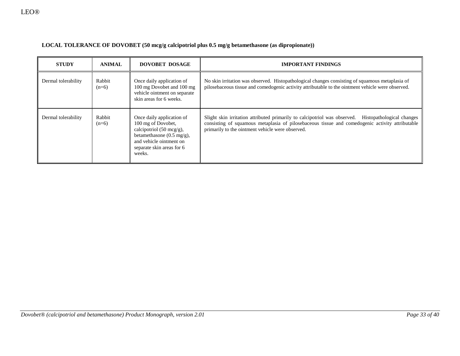| LOCAL TOLERANCE OF DOVOBET (50 mcg/g calcipotriol plus 0.5 mg/g betamethasone (as dipropionate)) |  |  |
|--------------------------------------------------------------------------------------------------|--|--|
|                                                                                                  |  |  |

| <b>STUDY</b>        | DOVOBET DOSAGE<br><b>ANIMAL</b> |                                                                                                                                                                                       | <b>IMPORTANT FINDINGS</b>                                                                                                                                                                                                                                  |  |  |
|---------------------|---------------------------------|---------------------------------------------------------------------------------------------------------------------------------------------------------------------------------------|------------------------------------------------------------------------------------------------------------------------------------------------------------------------------------------------------------------------------------------------------------|--|--|
| Dermal tolerability | Rabbit<br>$(n=6)$               | Once daily application of<br>100 mg Dovobet and 100 mg<br>vehicle ointment on separate<br>skin areas for 6 weeks.                                                                     | No skin irritation was observed. Histopathological changes consisting of squamous metaplasia of<br>pilosebaceous tissue and comedogenic activity attributable to the ointment vehicle were observed.                                                       |  |  |
| Dermal tolerability | Rabbit<br>$(n=6)$               | Once daily application of<br>100 mg of Dovobet,<br>calcipotriol (50 mcg/g),<br>betamethasone $(0.5 \text{ mg/g})$ ,<br>and vehicle ointment on<br>separate skin areas for 6<br>weeks. | Slight skin irritation attributed primarily to calcipotriol was observed. Histopathological changes<br>consisting of squamous metaplasia of pilosebaceous tissue and comedogenic activity attributable<br>primarily to the ointment vehicle were observed. |  |  |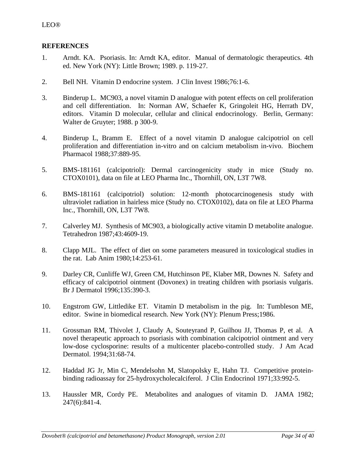# <span id="page-33-0"></span>**REFERENCES**

- 1. Arndt. KA. Psoriasis. In: Arndt KA, editor. Manual of dermatologic therapeutics. 4th ed. New York (NY): Little Brown; 1989. p. 119-27.
- 2. Bell NH. Vitamin D endocrine system. J Clin Invest 1986;76:1-6.
- 3. Binderup L. MC903, a novel vitamin D analogue with potent effects on cell proliferation and cell differentiation. In: Norman AW, Schaefer K, Gringoleit HG, Herrath DV, editors. Vitamin D molecular, cellular and clinical endocrinology. Berlin, Germany: Walter de Gruyter; 1988. p 300-9.
- 4. Binderup L, Bramm E. Effect of a novel vitamin D analogue calcipotriol on cell proliferation and differentiation in-vitro and on calcium metabolism in-vivo. Biochem Pharmacol 1988;37:889-95.
- 5. BMS-181161 (calcipotriol): Dermal carcinogenicity study in mice (Study no. CTOX0101), data on file at LEO Pharma Inc., Thornhill, ON, L3T 7W8.
- 6. BMS-181161 (calcipotriol) solution: 12-month photocarcinogenesis study with ultraviolet radiation in hairless mice (Study no. CTOX0102), data on file at LEO Pharma Inc., Thornhill, ON, L3T 7W8.
- 7. Calverley MJ. Synthesis of MC903, a biologically active vitamin D metabolite analogue. Tetrahedron 1987;43:4609-19.
- 8. Clapp MJL. The effect of diet on some parameters measured in toxicological studies in the rat. Lab Anim 1980;14:253-61.
- 9. [Darley CR, Cunliffe WJ, Green CM, Hutchinson PE, Klaber MR, Downes N.](http://www.ncbi.nlm.nih.gov/entrez/query.fcgi?cmd=Retrieve&db=pubmed&dopt=Abstract&list_uids=8949431&query_hl=2&itool=pubmed_docsum) Safety and efficacy of calcipotriol ointment (Dovonex) in treating children with psoriasis vulgaris. Br J Dermatol 1996;135:390-3.
- 10. Engstrom GW, Littledike ET. Vitamin D metabolism in the pig. In: Tumbleson ME, editor. Swine in biomedical research. New York (NY): Plenum Press;1986.
- 11. [Grossman RM,](http://www.ncbi.nlm.nih.gov/entrez/query.fcgi?db=PubMed&cmd=Search&itool=PubMed_Abstract&term=%22Grossman+RM%22%5BAuthor%5D) [Thivolet J,](http://www.ncbi.nlm.nih.gov/entrez/query.fcgi?db=PubMed&cmd=Search&itool=PubMed_Abstract&term=%22Thivolet+J%22%5BAuthor%5D) [Claudy A,](http://www.ncbi.nlm.nih.gov/entrez/query.fcgi?db=PubMed&cmd=Search&itool=PubMed_Abstract&term=%22Claudy+A%22%5BAuthor%5D) [Souteyrand P,](http://www.ncbi.nlm.nih.gov/entrez/query.fcgi?db=PubMed&cmd=Search&itool=PubMed_Abstract&term=%22Souteyrand+P%22%5BAuthor%5D) [Guilhou JJ,](http://www.ncbi.nlm.nih.gov/entrez/query.fcgi?db=PubMed&cmd=Search&itool=PubMed_Abstract&term=%22Guilhou+JJ%22%5BAuthor%5D) [Thomas P,](http://www.ncbi.nlm.nih.gov/entrez/query.fcgi?db=PubMed&cmd=Search&itool=PubMed_Abstract&term=%22Thomas+P%22%5BAuthor%5D) et al. A novel therapeutic approach to psoriasis with combination calcipotriol ointment and very low-dose cyclosporine: results of a multicenter placebo-controlled study. [J Am Acad](javascript:AL_get(this,%20)  [Dermatol.](javascript:AL_get(this,%20) 1994;31:68-74.
- 12. [Haddad JG Jr, Min C, Mendelsohn M, Slatopolsky E, Hahn TJ.](http://www.ncbi.nlm.nih.gov/entrez/query.fcgi?cmd=Retrieve&db=pubmed&dopt=Abstract&list_uids=900941&query_hl=5&itool=pubmed_docsum) Competitive proteinbinding radioassay for 25-hydroxycholecalciferol. J Clin Endocrinol 1971;33:992-5.
- 13. Haussler MR, Cordy PE. Metabolites and analogues of vitamin D. JAMA 1982; 247(6):841-4.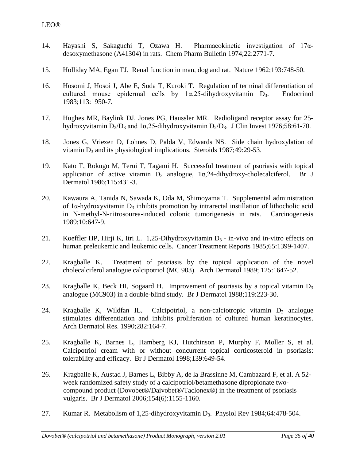- 14. [Hayashi S,](http://www.ncbi.nlm.nih.gov/entrez/query.fcgi?db=PubMed&cmd=Search&itool=PubMed_Abstract&term=%22Hayashi+S%22%5BAuthor%5D) [Sakaguchi T,](http://www.ncbi.nlm.nih.gov/entrez/query.fcgi?db=PubMed&cmd=Search&itool=PubMed_Abstract&term=%22Sakaguchi+T%22%5BAuthor%5D) [Ozawa H.](http://www.ncbi.nlm.nih.gov/entrez/query.fcgi?db=PubMed&cmd=Search&itool=PubMed_Abstract&term=%22Ozawa+H%22%5BAuthor%5D) Pharmacokinetic investigation of 17αdesoxymethasone (A41304) in rats. Chem Pharm Bulletin 1974;22:2771-7.
- 15. Holliday MA, Egan TJ. Renal function in man, dog and rat. Nature 1962;193:748-50.
- 16. [Hosomi J,](http://www.ncbi.nlm.nih.gov/entrez/query.fcgi?db=PubMed&cmd=Search&itool=PubMed_Abstract&term=%22Hosomi+J%22%5BAuthor%5D) [Hosoi J,](http://www.ncbi.nlm.nih.gov/entrez/query.fcgi?db=PubMed&cmd=Search&itool=PubMed_Abstract&term=%22Hosoi+J%22%5BAuthor%5D) [Abe E,](http://www.ncbi.nlm.nih.gov/entrez/query.fcgi?db=PubMed&cmd=Search&itool=PubMed_Abstract&term=%22Abe+E%22%5BAuthor%5D) [Suda T,](http://www.ncbi.nlm.nih.gov/entrez/query.fcgi?db=PubMed&cmd=Search&itool=PubMed_Abstract&term=%22Suda+T%22%5BAuthor%5D) [Kuroki T.](http://www.ncbi.nlm.nih.gov/entrez/query.fcgi?db=PubMed&cmd=Search&itool=PubMed_Abstract&term=%22Kuroki+T%22%5BAuthor%5D) Regulation of terminal differentiation of cultured mouse epidermal cells by  $1\alpha,25$ -dihydroxyvitamin D<sub>3</sub>. Endocrinol 1983;113:1950-7.
- 17. [Hughes MR,](http://www.ncbi.nlm.nih.gov/entrez/query.fcgi?db=PubMed&cmd=Search&itool=PubMed_Abstract&term=%22Hughes+MR%22%5BAuthor%5D) [Baylink DJ,](http://www.ncbi.nlm.nih.gov/entrez/query.fcgi?db=PubMed&cmd=Search&itool=PubMed_Abstract&term=%22Baylink+DJ%22%5BAuthor%5D) [Jones PG,](http://www.ncbi.nlm.nih.gov/entrez/query.fcgi?db=PubMed&cmd=Search&itool=PubMed_Abstract&term=%22Jones+PG%22%5BAuthor%5D) [Haussler MR.](http://www.ncbi.nlm.nih.gov/entrez/query.fcgi?db=PubMed&cmd=Search&itool=PubMed_Abstract&term=%22Haussler+MR%22%5BAuthor%5D) Radioligand receptor assay for 25 hydroxyvitamin  $D_2/D_3$  and  $1\alpha$ , 25-dihydroxyvitamin  $D_2/D_3$ . J Clin Invest 1976; 58:61-70.
- 18. [Jones G, Vriezen D, Lohnes D, Palda V, Edwards NS.](http://www.ncbi.nlm.nih.gov/entrez/query.fcgi?cmd=Retrieve&db=pubmed&dopt=Abstract&list_uids=2842896&query_hl=10&itool=pubmed_docsum) Side chain hydroxylation of vitamin  $D_3$  and its physiological implications. Steroids 1987;49:29-53.
- 19. [Kato T,](http://www.ncbi.nlm.nih.gov/entrez/query.fcgi?db=PubMed&cmd=Search&itool=PubMed_Abstract&term=%22Kato+T%22%5BAuthor%5D) [Rokugo M,](http://www.ncbi.nlm.nih.gov/entrez/query.fcgi?db=PubMed&cmd=Search&itool=PubMed_Abstract&term=%22Rokugo+M%22%5BAuthor%5D) [Terui T,](http://www.ncbi.nlm.nih.gov/entrez/query.fcgi?db=PubMed&cmd=Search&itool=PubMed_Abstract&term=%22Terui+T%22%5BAuthor%5D) [Tagami H.](http://www.ncbi.nlm.nih.gov/entrez/query.fcgi?db=PubMed&cmd=Search&itool=PubMed_Abstract&term=%22Tagami+H%22%5BAuthor%5D) Successful treatment of psoriasis with topical application of active vitamin  $D_3$  analogue,  $1\alpha$ , 24-dihydroxy-cholecalciferol. Br J Dermatol 1986;115:431-3.
- 20. [Kawaura A,](http://www.ncbi.nlm.nih.gov/entrez/query.fcgi?db=PubMed&cmd=Search&itool=PubMed_Abstract&term=%22Kawaura+A%22%5BAuthor%5D) [Tanida N,](http://www.ncbi.nlm.nih.gov/entrez/query.fcgi?db=PubMed&cmd=Search&itool=PubMed_Abstract&term=%22Tanida+N%22%5BAuthor%5D) [Sawada K,](http://www.ncbi.nlm.nih.gov/entrez/query.fcgi?db=PubMed&cmd=Search&itool=PubMed_Abstract&term=%22Sawada+K%22%5BAuthor%5D) [Oda M,](http://www.ncbi.nlm.nih.gov/entrez/query.fcgi?db=PubMed&cmd=Search&itool=PubMed_Abstract&term=%22Oda+M%22%5BAuthor%5D) [Shimoyama T.](http://www.ncbi.nlm.nih.gov/entrez/query.fcgi?db=PubMed&cmd=Search&itool=PubMed_Abstract&term=%22Shimoyama+T%22%5BAuthor%5D) Supplemental administration of  $1\alpha$ -hydroxyvitamin  $D_3$  inhibits promotion by intrarectal instillation of lithocholic acid in N-methyl-N-nitrosourea-induced colonic tumorigenesis in rats. Carcinogenesis 1989;10:647-9.
- 21. [Koeffler HP,](http://www.ncbi.nlm.nih.gov/entrez/query.fcgi?db=PubMed&cmd=Search&itool=PubMed_Abstract&term=%22Koeffler+HP%22%5BAuthor%5D) [Hirji K,](http://www.ncbi.nlm.nih.gov/entrez/query.fcgi?db=PubMed&cmd=Search&itool=PubMed_Abstract&term=%22Hirji+K%22%5BAuthor%5D) [Itri L.](http://www.ncbi.nlm.nih.gov/entrez/query.fcgi?db=PubMed&cmd=Search&itool=PubMed_Abstract&term=%22Itri+L%22%5BAuthor%5D) 1,25-Dihydroxyvitamin  $D_3$  in-vivo and in-vitro effects on human preleukemic and leukemic cells. Cancer Treatment Reports 1985;65:1399-1407.
- 22. Kragballe K. Treatment of psoriasis by the topical application of the novel cholecalciferol analogue calcipotriol (MC 903). Arch Dermatol 1989; 125:1647-52.
- 23. Kragballe K, Beck HI, Sogaard H. Improvement of psoriasis by a topical vitamin  $D_3$ analogue (MC903) in a double-blind study. Br J Dermatol 1988;119:223-30.
- 24. Kragballe K, Wildfan IL. Calcipotriol, a non-calciotropic vitamin  $D_3$  analogue stimulates differentiation and inhibits proliferation of cultured human keratinocytes. [Arch Dermatol Res.](javascript:AL_get(this,%20) 1990;282:164-7.
- 25. [Kragballe K,](http://www.ncbi.nlm.nih.gov/entrez/query.fcgi?db=PubMed&cmd=Search&itool=PubMed_Abstract&term=%22Kragballe+K%22%5BAuthor%5D) [Barnes L,](http://www.ncbi.nlm.nih.gov/entrez/query.fcgi?db=PubMed&cmd=Search&itool=PubMed_Abstract&term=%22Barnes+L%22%5BAuthor%5D) [Hamberg KJ,](http://www.ncbi.nlm.nih.gov/entrez/query.fcgi?db=PubMed&cmd=Search&itool=PubMed_Abstract&term=%22Hamberg+KJ%22%5BAuthor%5D) [Hutchinson P,](http://www.ncbi.nlm.nih.gov/entrez/query.fcgi?db=PubMed&cmd=Search&itool=PubMed_Abstract&term=%22Hutchinson+P%22%5BAuthor%5D) [Murphy F,](http://www.ncbi.nlm.nih.gov/entrez/query.fcgi?db=PubMed&cmd=Search&itool=PubMed_Abstract&term=%22Murphy+F%22%5BAuthor%5D) [Moller S,](http://www.ncbi.nlm.nih.gov/entrez/query.fcgi?db=PubMed&cmd=Search&itool=PubMed_Abstract&term=%22Moller+S%22%5BAuthor%5D) et al. Calcipotriol cream with or without concurrent topical corticosteroid in psoriasis: tolerability and efficacy. Br J Dermatol 1998;139:649-54.
- 26. Kragballe K, Austad J, Barnes L, Bibby A, de la Brassinne M, Cambazard F, et al. A 52 week randomized safety study of a calcipotriol/betamethasone dipropionate twocompound product (Dovobet®/Daivobet®**/**Taclonex®) in the treatment of psoriasis vulgaris. Br J Dermatol 2006;154(6):1155-1160.
- 27. Kumar R. Metabolism of 1,25-dihydroxyvitamin D3. Physiol Rev 1984;64:478-504.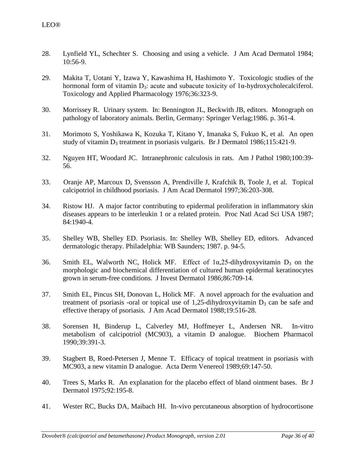- 28. Lynfield YL, Schechter S. Choosing and using a vehicle. J Am Acad Dermatol 1984; 10:56-9.
- 29. [Makita T,](http://www.ncbi.nlm.nih.gov/entrez/query.fcgi?db=PubMed&cmd=Search&itool=PubMed_Abstract&term=%22Makita+T%22%5BAuthor%5D) [Uotani Y,](http://www.ncbi.nlm.nih.gov/entrez/query.fcgi?db=PubMed&cmd=Search&itool=PubMed_Abstract&term=%22Uotani+Y%22%5BAuthor%5D) [Izawa Y,](http://www.ncbi.nlm.nih.gov/entrez/query.fcgi?db=PubMed&cmd=Search&itool=PubMed_Abstract&term=%22Izawa+Y%22%5BAuthor%5D) [Kawashima H,](http://www.ncbi.nlm.nih.gov/entrez/query.fcgi?db=PubMed&cmd=Search&itool=PubMed_Abstract&term=%22Kawashima+H%22%5BAuthor%5D) [Hashimoto Y.](http://www.ncbi.nlm.nih.gov/entrez/query.fcgi?db=PubMed&cmd=Search&itool=PubMed_Abstract&term=%22Hashimoto+Y%22%5BAuthor%5D) Toxicologic studies of the hormonal form of vitamin  $D_3$ : acute and subacute toxicity of  $1\alpha$ -hydroxycholecalciferol. Toxicology and Applied Pharmacology 1976;36:323-9.
- 30. Morrissey R. Urinary system. In: Bennington JL, Beckwith JB, editors. Monograph on pathology of laboratory animals. Berlin, Germany: Springer Verlag;1986. p. 361-4.
- 31. [Morimoto S,](http://www.ncbi.nlm.nih.gov/entrez/query.fcgi?db=PubMed&cmd=Search&itool=PubMed_Abstract&term=%22Morimoto+S%22%5BAuthor%5D) [Yoshikawa K,](http://www.ncbi.nlm.nih.gov/entrez/query.fcgi?db=PubMed&cmd=Search&itool=PubMed_Abstract&term=%22Yoshikawa+K%22%5BAuthor%5D) [Kozuka T,](http://www.ncbi.nlm.nih.gov/entrez/query.fcgi?db=PubMed&cmd=Search&itool=PubMed_Abstract&term=%22Kozuka+T%22%5BAuthor%5D) [Kitano Y,](http://www.ncbi.nlm.nih.gov/entrez/query.fcgi?db=PubMed&cmd=Search&itool=PubMed_Abstract&term=%22Kitano+Y%22%5BAuthor%5D) [Imanaka S,](http://www.ncbi.nlm.nih.gov/entrez/query.fcgi?db=PubMed&cmd=Search&itool=PubMed_Abstract&term=%22Imanaka+S%22%5BAuthor%5D) [Fukuo K,](http://www.ncbi.nlm.nih.gov/entrez/query.fcgi?db=PubMed&cmd=Search&itool=PubMed_Abstract&term=%22Fukuo+K%22%5BAuthor%5D) et al. An open study of vitamin  $D_3$  treatment in psoriasis vulgaris. Br J Dermatol 1986;115:421-9.
- 32. [Nguyen HT, Woodard JC.](http://www.ncbi.nlm.nih.gov/entrez/query.fcgi?cmd=Retrieve&db=pubmed&dopt=Abstract&list_uids=7395968&query_hl=18&itool=pubmed_docsum) Intranephronic calculosis in rats. Am J Pathol 1980;100:39- 56.
- 33. [Oranje AP,](http://www.ncbi.nlm.nih.gov/entrez/query.fcgi?db=PubMed&cmd=Search&itool=PubMed_Abstract&term=%22Oranje+AP%22%5BAuthor%5D) [Marcoux D,](http://www.ncbi.nlm.nih.gov/entrez/query.fcgi?db=PubMed&cmd=Search&itool=PubMed_Abstract&term=%22Marcoux+D%22%5BAuthor%5D) [Svensson A,](http://www.ncbi.nlm.nih.gov/entrez/query.fcgi?db=PubMed&cmd=Search&itool=PubMed_Abstract&term=%22Svensson+A%22%5BAuthor%5D) [Prendiville J,](http://www.ncbi.nlm.nih.gov/entrez/query.fcgi?db=PubMed&cmd=Search&itool=PubMed_Abstract&term=%22Prendiville+J%22%5BAuthor%5D) [Krafchik B,](http://www.ncbi.nlm.nih.gov/entrez/query.fcgi?db=PubMed&cmd=Search&itool=PubMed_Abstract&term=%22Krafchik+B%22%5BAuthor%5D) [Toole J,](http://www.ncbi.nlm.nih.gov/entrez/query.fcgi?db=PubMed&cmd=Search&itool=PubMed_Abstract&term=%22Toole+J%22%5BAuthor%5D) et al. Topical calcipotriol in childhood psoriasis. J Am Acad Dermatol 1997;36:203-308.
- 34. Ristow HJ. A major factor contributing to epidermal proliferation in inflammatory skin diseases appears to be interleukin 1 or a related protein. Proc Natl Acad Sci USA 1987; 84:1940-4.
- 35. Shelley WB, Shelley ED. Psoriasis. In: Shelley WB, Shelley ED, editors. Advanced dermatologic therapy. Philadelphia: WB Saunders; 1987. p. 94-5.
- 36. [Smith EL,](http://www.ncbi.nlm.nih.gov/entrez/query.fcgi?db=PubMed&cmd=Search&itool=PubMed_Abstract&term=%22Smith+EL%22%5BAuthor%5D) [Walworth NC,](http://www.ncbi.nlm.nih.gov/entrez/query.fcgi?db=PubMed&cmd=Search&itool=PubMed_Abstract&term=%22Walworth+NC%22%5BAuthor%5D) [Holick MF.](http://www.ncbi.nlm.nih.gov/entrez/query.fcgi?db=PubMed&cmd=Search&itool=PubMed_Abstract&term=%22Holick+MF%22%5BAuthor%5D) Effect of  $1\alpha$ , 25-dihydroxyvitamin D<sub>3</sub> on the morphologic and biochemical differentiation of cultured human epidermal keratinocytes grown in serum-free conditions. J Invest Dermatol 1986;86:709-14.
- 37. [Smith EL,](http://www.ncbi.nlm.nih.gov/entrez/query.fcgi?db=PubMed&cmd=Search&itool=PubMed_Abstract&term=%22Smith+EL%22%5BAuthor%5D) [Pincus SH,](http://www.ncbi.nlm.nih.gov/entrez/query.fcgi?db=PubMed&cmd=Search&itool=PubMed_Abstract&term=%22Pincus+SH%22%5BAuthor%5D) [Donovan L,](http://www.ncbi.nlm.nih.gov/entrez/query.fcgi?db=PubMed&cmd=Search&itool=PubMed_Abstract&term=%22Donovan+L%22%5BAuthor%5D) [Holick MF.](http://www.ncbi.nlm.nih.gov/entrez/query.fcgi?db=PubMed&cmd=Search&itool=PubMed_Abstract&term=%22Holick+MF%22%5BAuthor%5D) A novel approach for the evaluation and treatment of psoriasis -oral or topical use of 1,25-dihydroxyvitamin  $D_3$  can be safe and effective therapy of psoriasis. J Am Acad Dermatol 1988;19:516-28.
- 38. [Sorensen H,](http://www.ncbi.nlm.nih.gov/entrez/query.fcgi?db=PubMed&cmd=Search&itool=PubMed_Abstract&term=%22Sorensen+H%22%5BAuthor%5D) [Binderup L,](http://www.ncbi.nlm.nih.gov/entrez/query.fcgi?db=PubMed&cmd=Search&itool=PubMed_Abstract&term=%22Binderup+L%22%5BAuthor%5D) [Calverley MJ,](http://www.ncbi.nlm.nih.gov/entrez/query.fcgi?db=PubMed&cmd=Search&itool=PubMed_Abstract&term=%22Calverley+MJ%22%5BAuthor%5D) [Hoffmeyer L,](http://www.ncbi.nlm.nih.gov/entrez/query.fcgi?db=PubMed&cmd=Search&itool=PubMed_Abstract&term=%22Hoffmeyer+L%22%5BAuthor%5D) [Andersen NR.](http://www.ncbi.nlm.nih.gov/entrez/query.fcgi?db=PubMed&cmd=Search&itool=PubMed_Abstract&term=%22Andersen+NR%22%5BAuthor%5D) In-vitro metabolism of calcipotriol (MC903), a vitamin D analogue. Biochem Pharmacol 1990;39:391-3.
- 39. Stagbert B, Roed-Petersen J, Menne T. Efficacy of topical treatment in psoriasis with MC903, a new vitamin D analogue. Acta Derm Venereol 1989;69:147-50.
- 40. Trees S, Marks R. An explanation for the placebo effect of bland ointment bases. Br J Dermatol 1975;92:195-8.
- 41. [Wester RC, Bucks DA, Maibach HI.](http://www.ncbi.nlm.nih.gov/entrez/query.fcgi?cmd=Retrieve&db=pubmed&dopt=Abstract&list_uids=6863620&query_hl=28&itool=pubmed_docsum) In-vivo percutaneous absorption of hydrocortisone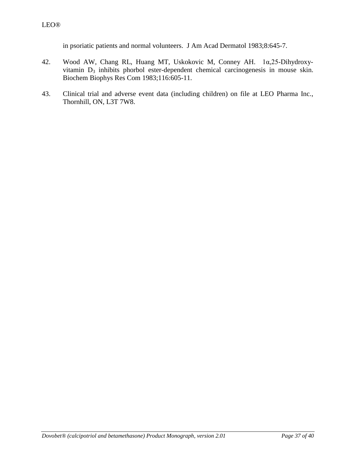in psoriatic patients and normal volunteers. J Am Acad Dermatol 1983;8:645-7.

- 42. [Wood AW,](http://www.ncbi.nlm.nih.gov/entrez/query.fcgi?db=PubMed&cmd=Search&itool=PubMed_Abstract&term=%22Wood+AW%22%5BAuthor%5D) [Chang RL,](http://www.ncbi.nlm.nih.gov/entrez/query.fcgi?db=PubMed&cmd=Search&itool=PubMed_Abstract&term=%22Chang+RL%22%5BAuthor%5D) [Huang MT,](http://www.ncbi.nlm.nih.gov/entrez/query.fcgi?db=PubMed&cmd=Search&itool=PubMed_Abstract&term=%22Huang+MT%22%5BAuthor%5D) [Uskokovic M,](http://www.ncbi.nlm.nih.gov/entrez/query.fcgi?db=PubMed&cmd=Search&itool=PubMed_Abstract&term=%22Uskokovic+M%22%5BAuthor%5D) [Conney AH.](http://www.ncbi.nlm.nih.gov/entrez/query.fcgi?db=PubMed&cmd=Search&itool=PubMed_Abstract&term=%22Conney+AH%22%5BAuthor%5D) 1α,25-Dihydroxyvitamin D<sub>3</sub> inhibits phorbol ester-dependent chemical carcinogenesis in mouse skin. Biochem Biophys Res Com 1983;116:605-11.
- 43. Clinical trial and adverse event data (including children) on file at LEO Pharma Inc., Thornhill, ON, L3T 7W8.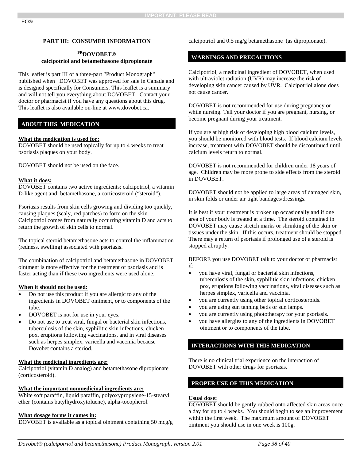#### **PART III: CONSUMER INFORMATION**

#### **PRDOVOBET® calcipotriol and betamethasone dipropionate**

#### This leaflet is part III of a three-part "Product Monograph" published when DOVOBET was approved for sale in Canada and is designed specifically for Consumers. This leaflet is a summary and will not tell you everything about DOVOBET. Contact your doctor or pharmacist if you have any questions about this drug. This leaflet is also available on-line at www.dovobet.ca.

#### **ABOUT THIS MEDICATION**

#### **What the medication is used for:**

DOVOBET should be used topically for up to 4 weeks to treat psoriasis plaques on your body.

DOVOBET should not be used on the face.

#### **What it does:**

DOVOBET contains two active ingredients; calcipotriol, a vitamin D-like agent and; betamethasone, a corticosteroid ("steroid").

Psoriasis results from skin cells growing and dividing too quickly, causing plaques (scaly, red patches) to form on the skin. Calcipotriol comes from naturally occurring vitamin D and acts to return the growth of skin cells to normal.

The topical steroid betamethasone acts to control the inflammation (redness, swelling) associated with psoriasis.

The combination of calcipotriol and betamethasone in DOVOBET ointment is more effective for the treatment of psoriasis and is faster acting than if these two ingredients were used alone.

#### **When it should not be used:**

- Do not use this product if you are allergic to any of the ingredients in DOVOBET ointment, or to components of the tube.
- DOVOBET is not for use in your eyes.
- Do not use to treat viral, fungal or bacterial skin infections, tuberculosis of the skin, syphilitic skin infections, chicken pox, eruptions following vaccinations, and in viral diseases such as herpes simplex, varicella and vaccinia because Dovobet contains a steriod.

#### **What the medicinal ingredients are:**

Calcipotriol (vitamin D analog) and betamethasone dipropionate (corticosteroid).

#### **What the important nonmedicinal ingredients are:**

White soft paraffin, liquid paraffin, polyoxypropylene-15-stearyl ether (contains butylhydroxytoluene), alpha-tocopherol.

#### **What dosage forms it comes in:**

DOVOBET is available as a topical ointment containing 50 mcg/g

<span id="page-37-0"></span>calcipotriol and 0.5 mg/g betamethasone (as dipropionate).

### **WARNINGS AND PRECAUTIONS**

Calcipotriol, a medicinal ingredient of DOVOBET, when used with ultraviolet radiation (UVR) may increase the risk of developing skin cancer caused by UVR. Calcipotriol alone does not cause cancer.

DOVOBET is not recommended for use during pregnancy or while nursing. Tell your doctor if you are pregnant, nursing, or become pregnant during your treatment.

If you are at high risk of developing high blood calcium levels, you should be monitored with blood tests. If blood calcium levels increase, treatment with DOVOBET should be discontinued until calcium levels return to normal.

DOVOBET is not recommended for children under 18 years of age. Children may be more prone to side effects from the steroid in DOVOBET.

DOVOBET should not be applied to large areas of damaged skin, in skin folds or under air tight bandages/dressings.

It is best if your treatment is broken up occasionally and if one area of your body is treated at a time. The steroid contained in DOVOBET may cause stretch marks or shrinking of the skin or tissues under the skin. If this occurs, treatment should be stopped. There may a return of psoriasis if prolonged use of a steroid is stopped abruptly.

BEFORE you use DOVOBET talk to your doctor or pharmacist if:

- you have viral, fungal or bacterial skin infections, tuberculosis of the skin, syphilitic skin infections, chicken pox, eruptions following vaccinations, viral diseases such as herpes simplex, varicella and vaccinia.
- you are currently using other topical corticosteroids.
- you are using sun tanning beds or sun lamps.
- you are currently using phototherapy for your psoriasis.
- you have allergies to any of the ingredients in DOVOBET ointment or to components of the tube.

### **INTERACTIONS WITH THIS MEDICATION**

There is no clinical trial experience on the interaction of DOVOBET with other drugs for psoriasis.

### **PROPER USE OF THIS MEDICATION**

#### **Usual dose:**

DOVOBET should be gently rubbed onto affected skin areas once a day for up to 4 weeks. You should begin to see an improvement within the first week. The maximum amount of DOVOBET ointment you should use in one week is 100g.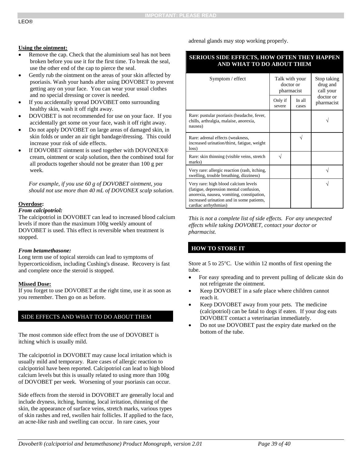#### adrenal glands may stop working properly.

### **SERIOUS SIDE EFFECTS, HOW OFTEN THEY HAPPEN AND WHAT TO DO ABOUT THEM**

| Symptom / effect                                                                                                                                                                                 | Talk with your<br>doctor or<br>pharmacist |                   | Stop taking<br>drug and<br>call your |
|--------------------------------------------------------------------------------------------------------------------------------------------------------------------------------------------------|-------------------------------------------|-------------------|--------------------------------------|
|                                                                                                                                                                                                  | Only if<br>severe                         | In $all$<br>cases | doctor or<br>pharmacist              |
| Rare: pustular psoriasis (headache, fever,<br>chills, arthralgia, malaise, anorexia,<br>nausea)                                                                                                  |                                           |                   |                                      |
| Rare: adrenal effects (weakness,<br>increased urination/thirst, fatigue, weight<br>loss)                                                                                                         |                                           |                   |                                      |
| Rare: skin thinning (visible veins, stretch<br>marks)                                                                                                                                            |                                           |                   |                                      |
| Very rare: allergic reaction (rash, itching,<br>swelling, trouble breathing, dizziness)                                                                                                          |                                           |                   |                                      |
| Very rare: high blood calcium levels<br>(fatigue, depression mental confusion,<br>anorexia, nausea, vomiting, constipation,<br>increased urination and in some patients,<br>cardiac arrhythmias) |                                           |                   |                                      |

*This is not a complete list of side effects. For any unexpected effects while taking DOVOBET, contact your doctor or pharmacist.*

### **HOW TO STORE IT**

Store at 5 to 25°C. Use within 12 months of first opening the tube.

- For easy spreading and to prevent pulling of delicate skin do not refrigerate the ointment.
- Keep DOVOBET in a safe place where children cannot reach it.
- Keep DOVOBET away from your pets. The medicine (calcipotriol) can be fatal to dogs if eaten. If your dog eats DOVOBET contact a veterinarian immediately.
- Do not use DOVOBET past the expiry date marked on the bottom of the tube.

### **Using the ointment:**

- Remove the cap. Check that the aluminium seal has not been broken before you use it for the first time. To break the seal, use the other end of the cap to pierce the seal.
- Gently rub the ointment on the areas of your skin affected by psoriasis. Wash your hands after using DOVOBET to prevent getting any on your face. You can wear your usual clothes and no special dressing or cover is needed.
- If you accidentally spread DOVOBET onto surrounding healthy skin, wash it off right away.
- DOVOBET is not recommended for use on your face. If you accidentally get some on your face, wash it off right away.
- Do not apply DOVOBET on large areas of damaged skin, in skin folds or under an air tight bandage/dressing. This could increase your risk of side effects.
- If DOVOBET ointment is used together with DOVONEX® cream, ointment or scalp solution, then the combined total for all products together should not be greater than 100 g per week.

*For example, if you use 60 g of DOVOBET ointment, you should not use more than 40 mL of DOVONEX scalp solution.*

#### **Overdose:**

#### *From calcipotriol:*

The calcipotriol in DOVOBET can lead to increased blood calcium levels if more than the maximum 100g weekly amount of DOVOBET is used. This effect is reversible when treatment is stopped.

#### *From betamethasone:*

Long term use of topical steroids can lead to symptoms of hypercorticoidism, including Cushing's disease. Recovery is fast and complete once the steroid is stopped.

### **Missed Dose:**

If you forget to use DOVOBET at the right time, use it as soon as you remember. Then go on as before.

### SIDE EFFECTS AND WHAT TO DO ABOUT THEM

The most common side effect from the use of DOVOBET is itching which is usually mild.

The calcipotriol in DOVOBET may cause local irritation which is usually mild and temporary. Rare cases of allergic reaction to calcipotriol have been reported. Calcipotriol can lead to high blood calcium levels but this is usually related to using more than 100g of DOVOBET per week. Worsening of your psoriasis can occur.

Side effects from the steroid in DOVOBET are generally local and include dryness, itching, burning, local irritation, thinning of the skin, the appearance of surface veins, stretch marks, various types of skin rashes and red, swollen hair follicles. If applied to the face, an acne-like rash and swelling can occur. In rare cases, your